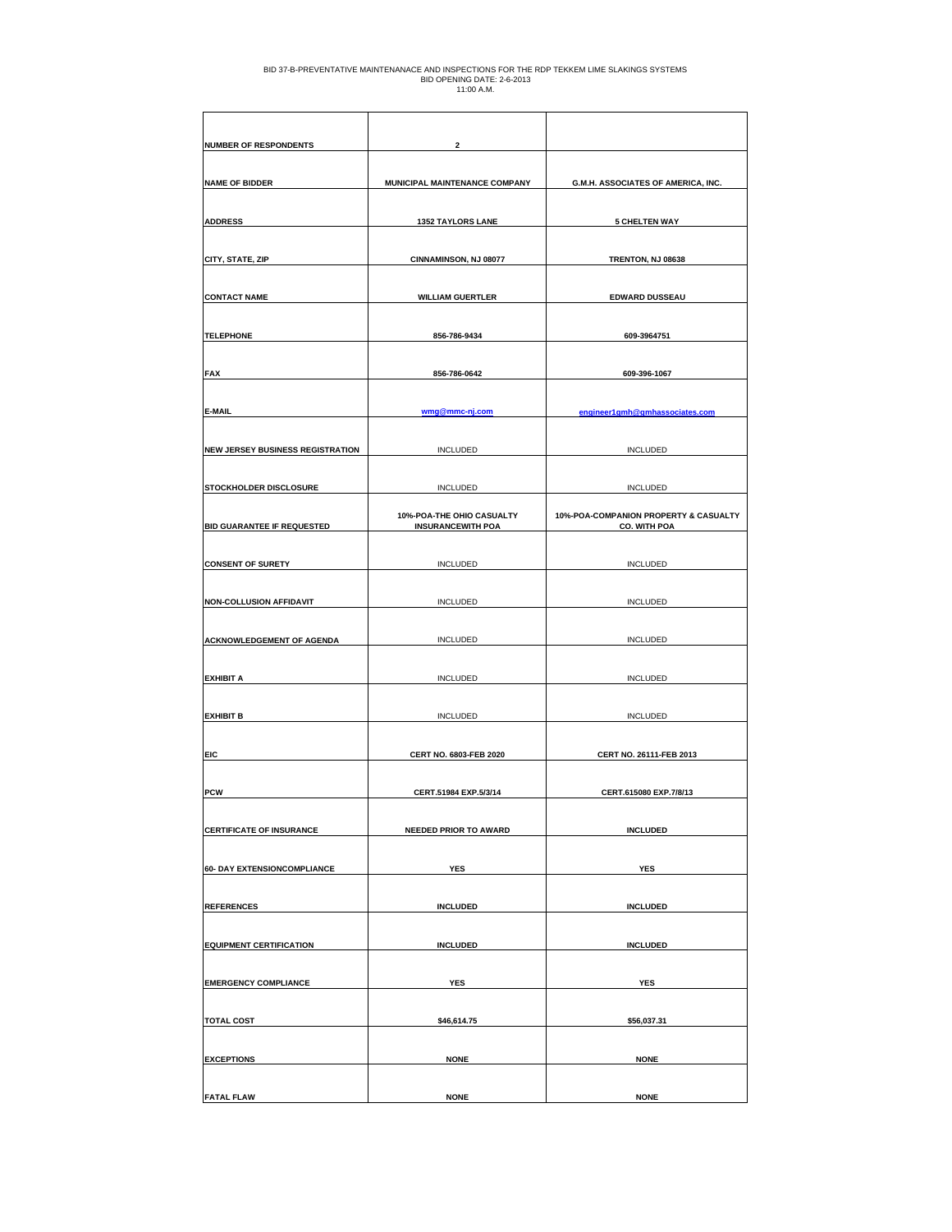| <b>NUMBER OF RESPONDENTS</b>            | $\overline{2}$                                        |                                                              |
|-----------------------------------------|-------------------------------------------------------|--------------------------------------------------------------|
| <b>NAME OF BIDDER</b>                   | MUNICIPAL MAINTENANCE COMPANY                         | G.M.H. ASSOCIATES OF AMERICA, INC.                           |
| <b>ADDRESS</b>                          | <b>1352 TAYLORS LANE</b>                              | <b>5 CHELTEN WAY</b>                                         |
|                                         |                                                       |                                                              |
| CITY, STATE, ZIP                        | CINNAMINSON, NJ 08077                                 | TRENTON, NJ 08638                                            |
| <b>CONTACT NAME</b>                     | <b>WILLIAM GUERTLER</b>                               | EDWARD DUSSEAU                                               |
| <b>TELEPHONE</b>                        | 856-786-9434                                          | 609-3964751                                                  |
|                                         |                                                       |                                                              |
| <b>FAX</b>                              | 856-786-0642                                          | 609-396-1067                                                 |
| <b>E-MAIL</b>                           | wmg@mmc-nj.com                                        | engineer1gmh@gmhassociates.com                               |
| <b>NEW JERSEY BUSINESS REGISTRATION</b> | <b>INCLUDED</b>                                       | <b>INCLUDED</b>                                              |
|                                         |                                                       |                                                              |
| STOCKHOLDER DISCLOSURE                  | <b>INCLUDED</b>                                       | <b>INCLUDED</b>                                              |
| <b>BID GUARANTEE IF REQUESTED</b>       | 10%-POA-THE OHIO CASUALTY<br><b>INSURANCEWITH POA</b> | 10%-POA-COMPANION PROPERTY & CASUALTY<br><b>CO. WITH POA</b> |
|                                         |                                                       |                                                              |
| <b>CONSENT OF SURETY</b>                | <b>INCLUDED</b>                                       | <b>INCLUDED</b>                                              |
| <b>NON-COLLUSION AFFIDAVIT</b>          | <b>INCLUDED</b>                                       | <b>INCLUDED</b>                                              |
|                                         |                                                       |                                                              |
| <b>ACKNOWLEDGEMENT OF AGENDA</b>        | <b>INCLUDED</b>                                       | <b>INCLUDED</b>                                              |
| <b>EXHIBIT A</b>                        | <b>INCLUDED</b>                                       | <b>INCLUDED</b>                                              |
|                                         |                                                       |                                                              |
| <b>EXHIBIT B</b>                        | <b>INCLUDED</b>                                       | <b>INCLUDED</b>                                              |
| <b>EIC</b>                              | <b>CERT NO. 6803-FEB 2020</b>                         | CERT NO. 26111-FEB 2013                                      |
|                                         |                                                       |                                                              |
| <b>PCW</b>                              | CERT.51984 EXP.5/3/14                                 | CERT.615080 EXP.7/8/13                                       |
| <b>CERTIFICATE OF INSURANCE</b>         | <b>NEEDED PRIOR TO AWARD</b>                          | <b>INCLUDED</b>                                              |
|                                         |                                                       |                                                              |
| 60- DAY EXTENSIONCOMPLIANCE             | <b>YES</b>                                            | YES                                                          |
| <b>REFERENCES</b>                       | <b>INCLUDED</b>                                       | <b>INCLUDED</b>                                              |
|                                         |                                                       |                                                              |
| <b>EQUIPMENT CERTIFICATION</b>          | <b>INCLUDED</b>                                       | <b>INCLUDED</b>                                              |
| <b>EMERGENCY COMPLIANCE</b>             | YES                                                   | YES                                                          |
| <b>TOTAL COST</b>                       | \$46,614.75                                           | \$56,037.31                                                  |
|                                         |                                                       |                                                              |
| <b>EXCEPTIONS</b>                       | <b>NONE</b>                                           | <b>NONE</b>                                                  |
| <b>FATAL FLAW</b>                       | <b>NONE</b>                                           | <b>NONE</b>                                                  |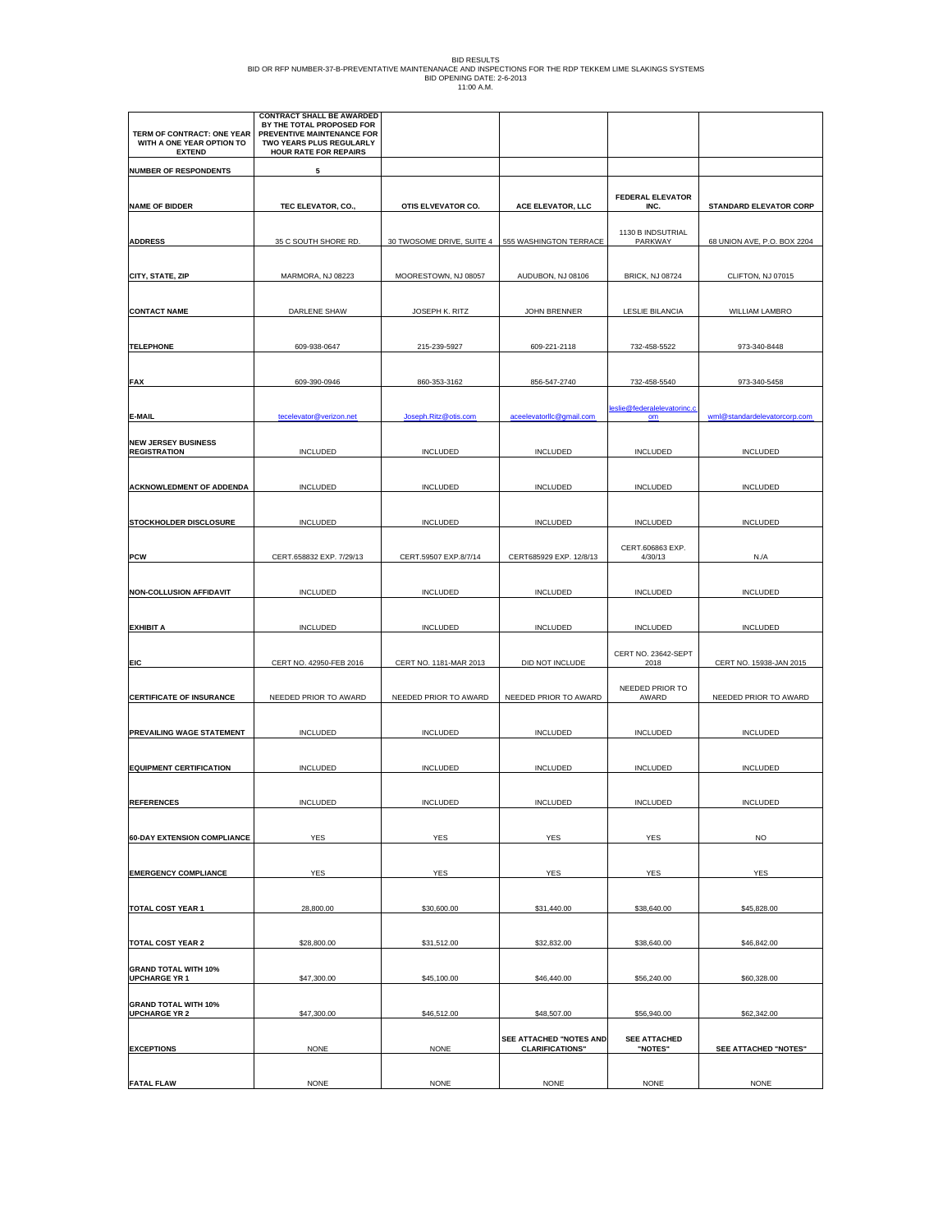| BID RESULTS                                                                                                |
|------------------------------------------------------------------------------------------------------------|
| BID OR REP NUMBER-37-B-PREVENTATIVE MAINTENANACE AND INSPECTIONS FOR THE RDP TEKKEM LIME SLAKINGS SYSTEMS. |
| BID OPENING DATE: 2-6-2013                                                                                 |
| 11:00 A.M.                                                                                                 |

|                                                                          | <b>CONTRACT SHALL BE AWARDED</b><br>BY THE TOTAL PROPOSED FOR                          |                           |                          |                                     |                               |
|--------------------------------------------------------------------------|----------------------------------------------------------------------------------------|---------------------------|--------------------------|-------------------------------------|-------------------------------|
| TERM OF CONTRACT: ONE YEAR<br>WITH A ONE YEAR OPTION TO<br><b>EXTEND</b> | PREVENTIVE MAINTENANCE FOR<br>TWO YEARS PLUS REGULARLY<br><b>HOUR RATE FOR REPAIRS</b> |                           |                          |                                     |                               |
| <b>NUMBER OF RESPONDENTS</b>                                             | 5                                                                                      |                           |                          |                                     |                               |
|                                                                          |                                                                                        |                           |                          |                                     |                               |
| <b>NAME OF BIDDER</b>                                                    | TEC ELEVATOR, CO.,                                                                     | OTIS ELVEVATOR CO.        | ACE ELEVATOR, LLC        | <b>FEDERAL ELEVATOR</b><br>INC.     | <b>STANDARD ELEVATOR CORP</b> |
|                                                                          |                                                                                        |                           |                          | 1130 B INDSUTRIAL                   |                               |
| <b>ADDRESS</b>                                                           | 35 C SOUTH SHORE RD.                                                                   | 30 TWOSOME DRIVE, SUITE 4 | 555 WASHINGTON TERRACE   | PARKWAY                             | 68 UNION AVE, P.O. BOX 2204   |
| CITY, STATE, ZIP                                                         | MARMORA, NJ 08223                                                                      | MOORESTOWN, NJ 08057      | AUDUBON, NJ 08106        | <b>BRICK, NJ 08724</b>              | CLIFTON, NJ 07015             |
|                                                                          |                                                                                        |                           |                          |                                     |                               |
| <b>CONTACT NAME</b>                                                      | DARLENE SHAW                                                                           | JOSEPH K. RITZ            | JOHN BRENNER             | <b>LESLIE BILANCIA</b>              | WILLIAM LAMBRO                |
|                                                                          |                                                                                        |                           |                          |                                     |                               |
| <b>TELEPHONE</b>                                                         | 609-938-0647                                                                           | 215-239-5927              | 609-221-2118             | 732-458-5522                        | 973-340-8448                  |
|                                                                          |                                                                                        |                           |                          |                                     |                               |
| <b>FAX</b>                                                               | 609-390-0946                                                                           | 860-353-3162              | 856-547-2740             | 732-458-5540                        | 973-340-5458                  |
| E-MAIL                                                                   | tecelevator@verizon.net                                                                | Joseph.Ritz@otis.com      | aceelevatorllc@gmail.com | leslie@federalelevatorinc.c<br>$om$ | wml@standardelevatorcorp.com  |
|                                                                          |                                                                                        |                           |                          |                                     |                               |
| <b>NEW JERSEY BUSINESS</b><br><b>REGISTRATION</b>                        | <b>INCLUDED</b>                                                                        | <b>INCLUDED</b>           | <b>INCLUDED</b>          | <b>INCLUDED</b>                     | <b>INCLUDED</b>               |
|                                                                          |                                                                                        |                           |                          |                                     |                               |
| <b>ACKNOWLEDMENT OF ADDENDA</b>                                          | INCLUDED                                                                               | <b>INCLUDED</b>           | INCLUDED                 | INCLUDED                            | INCLUDED                      |
| STOCKHOLDER DISCLOSURE                                                   | INCLUDED                                                                               | <b>INCLUDED</b>           | <b>INCLUDED</b>          | <b>INCLUDED</b>                     | INCLUDED                      |
|                                                                          |                                                                                        |                           |                          |                                     |                               |
| <b>PCW</b>                                                               | CERT.658832 EXP. 7/29/13                                                               | CERT.59507 EXP.8/7/14     | CERT685929 EXP. 12/8/13  | CERT.606863 EXP.<br>4/30/13         | N.A                           |
|                                                                          |                                                                                        |                           |                          |                                     |                               |
| <b>NON-COLLUSION AFFIDAVIT</b>                                           | <b>INCLUDED</b>                                                                        | <b>INCLUDED</b>           | <b>INCLUDED</b>          | <b>INCLUDED</b>                     | <b>INCLUDED</b>               |
| <b>EXHIBIT A</b>                                                         | INCLUDED                                                                               | <b>INCLUDED</b>           | <b>INCLUDED</b>          | <b>INCLUDED</b>                     | <b>INCLUDED</b>               |
|                                                                          |                                                                                        |                           |                          |                                     |                               |
| <b>EIC</b>                                                               | CERT NO. 42950-FEB 2016                                                                | CERT NO. 1181-MAR 2013    | DID NOT INCLUDE          | CERT NO. 23642-SEPT<br>2018         | CERT NO. 15938-JAN 2015       |
|                                                                          |                                                                                        |                           |                          | NEEDED PRIOR TO                     |                               |
| <b>CERTIFICATE OF INSURANCE</b>                                          | NEEDED PRIOR TO AWARD                                                                  | NEEDED PRIOR TO AWARD     | NEEDED PRIOR TO AWARD    | AWARD                               | NEEDED PRIOR TO AWARD         |
|                                                                          | <b>INCLUDED</b>                                                                        |                           |                          |                                     |                               |
| PREVAILING WAGE STATEMENT                                                |                                                                                        | <b>INCLUDED</b>           | <b>INCLUDED</b>          | <b>INCLUDED</b>                     | <b>INCLUDED</b>               |
| <b>EQUIPMENT CERTIFICATION</b>                                           | <b>INCLUDED</b>                                                                        | <b>INCLUDED</b>           | <b>INCLUDED</b>          | <b>INCLUDED</b>                     | <b>INCLUDED</b>               |
|                                                                          |                                                                                        |                           |                          |                                     |                               |
| <b>REFERENCES</b>                                                        | INCLUDED                                                                               | INCLUDED                  | INCLUDED                 | INCLUDED                            | INCLUDED                      |
|                                                                          | YES                                                                                    | <b>YES</b>                |                          |                                     | <b>NO</b>                     |
| <b>60-DAY EXTENSION COMPLIANCE</b>                                       |                                                                                        |                           | YES                      | YES                                 |                               |
| <b>EMERGENCY COMPLIANCE</b>                                              | YES                                                                                    | <b>YES</b>                | YES                      | <b>YES</b>                          | YES                           |
|                                                                          |                                                                                        |                           |                          |                                     |                               |
| <b>TOTAL COST YEAR 1</b>                                                 | 28,800.00                                                                              | \$30,600.00               | \$31,440.00              | \$38,640.00                         | \$45,828.00                   |
|                                                                          |                                                                                        |                           |                          |                                     |                               |
| <b>TOTAL COST YEAR 2</b>                                                 | \$28,800.00                                                                            | \$31,512.00               | \$32,832.00              | \$38,640.00                         | \$46,842.00                   |
| <b>GRAND TOTAL WITH 10%</b><br><b>UPCHARGE YR 1</b>                      | \$47,300.00                                                                            | \$45,100.00               | \$46,440.00              | \$56,240.00                         | \$60,328.00                   |
| <b>GRAND TOTAL WITH 10%</b>                                              |                                                                                        |                           |                          |                                     |                               |
| <b>UPCHARGE YR 2</b>                                                     | \$47,300.00                                                                            | \$46,512.00               | \$48,507.00              | \$56,940.00                         | \$62,342.00                   |
|                                                                          |                                                                                        |                           | SEE ATTACHED "NOTES AND  | <b>SEE ATTACHED</b>                 |                               |
| <b>EXCEPTIONS</b>                                                        | <b>NONE</b>                                                                            | <b>NONE</b>               | <b>CLARIFICATIONS"</b>   | "NOTES"                             | SEE ATTACHED "NOTES"          |
| <b>FATAL FLAW</b>                                                        | <b>NONE</b>                                                                            | <b>NONE</b>               | <b>NONE</b>              | <b>NONE</b>                         | <b>NONE</b>                   |
|                                                                          |                                                                                        |                           |                          |                                     |                               |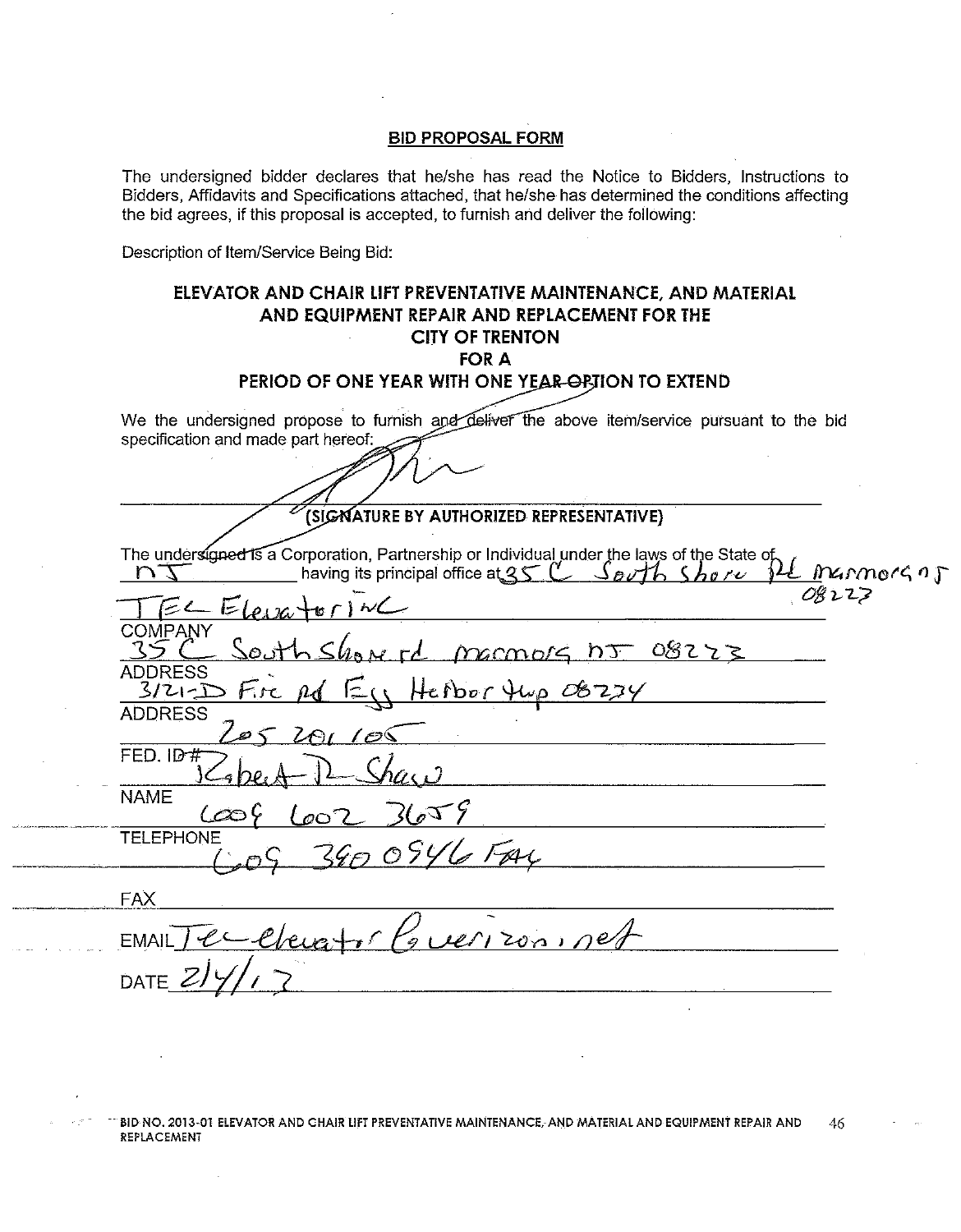The undersigned bidder declares that he/she has read the Notice to Bidders, Instructions to Bidders, Affidavits and Specifications attached, that he/she has determined the conditions affecting the bid agrees, if this proposal is accepted, to furnish and deliver the following:

Description of Item/Service Being Bid:

.<br>In the selection of any property temperature and property in a columnation property and states in a state of

and the company of the company of

 $\overline{\phantom{a}}$ 

| ELEVATOR AND CHAIR LIFT PREVENTATIVE MAINTENANCE, AND MATERIAL<br>AND EQUIPMENT REPAIR AND REPLACEMENT FOR THE<br><b>CITY OF TRENTON</b><br><b>FOR A</b><br>PERIOD OF ONE YEAR WITH ONE YEAR-ORTION TO EXTEND |                      |
|---------------------------------------------------------------------------------------------------------------------------------------------------------------------------------------------------------------|----------------------|
|                                                                                                                                                                                                               |                      |
| We the undersigned propose to furnish and deliver the above item/service pursuant to the bid                                                                                                                  |                      |
| specification and made part hereof:                                                                                                                                                                           |                      |
|                                                                                                                                                                                                               |                      |
| (SIGNATURE BY AUTHORIZED REPRESENTATIVE)                                                                                                                                                                      |                      |
| The undersigned is a Corporation, Partnership or Individual under the laws of the State of                                                                                                                    |                      |
| having its principal office at $35 C$ Sorth Shore                                                                                                                                                             | <u>- Marmorg a j</u> |
| 08223<br>$\epsilon$ $\epsilon$ $\epsilon_{\text{max}}$                                                                                                                                                        |                      |
| <b>COMPANY</b>                                                                                                                                                                                                |                      |
| South Show of marmors no 08223                                                                                                                                                                                |                      |
| <b>ADDRESS</b><br>$E_{11}$ Henor tup $08234$<br>$3/2$ - $D$ Fire $nd$                                                                                                                                         |                      |
| <b>ADDRESS</b>                                                                                                                                                                                                |                      |
| 205 201 100                                                                                                                                                                                                   |                      |
| FED. ID#                                                                                                                                                                                                      |                      |
| <b>NAME</b><br>602, 3659<br>(co                                                                                                                                                                               |                      |
| <b>TELEPHONE</b><br>3900946 FAL                                                                                                                                                                               |                      |
|                                                                                                                                                                                                               |                      |
| <b>FAX</b>                                                                                                                                                                                                    |                      |
| Clevertor Powerizon, sel<br><b>EMAIL</b>                                                                                                                                                                      |                      |
| DATE                                                                                                                                                                                                          |                      |
|                                                                                                                                                                                                               |                      |

122 BID NO. 2013-01 ELEVATOR AND CHAIR UFT PREVENTATIVE MAINTENANCE, AND MATERIAL AND EQUIPMENT REPAIR AND 46 REPLACEMENT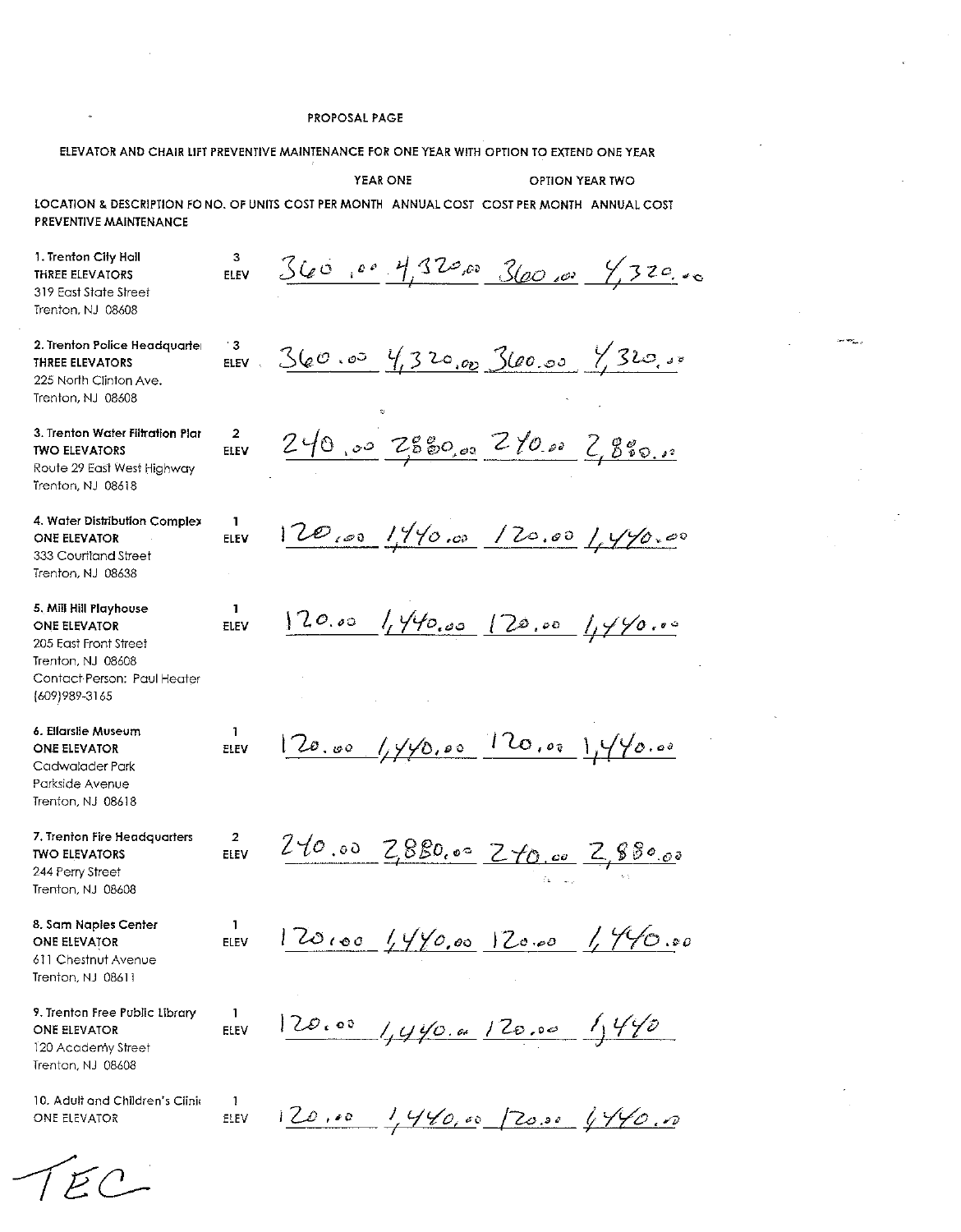ELEVATOR AND CHAIR LIFT PREVENTIVE MAINTENANCE FOR ONE YEAR WITH OPTION TO EXTEND ONE YEAR

YEAR ONE

OPTION YEAR TWO

ريبوليا

LOCATION & DESCRIPTION FO NO. OF UNITS COST PER MONTH ANNUAL COST COST PER MONTH ANNUAL COST PREVENTIVE MAINTENANCE

3

 $\overline{2}$ 

 $\overline{1}$ 

 $\overline{2}$ 

 $\mathbf{1}$ 

 $\mathbf{1}$ 

ELEV

 $\mathbf{1}$ 

ELEV

1. Trenton City Hall **THREE ELEVATORS** 319 East State Street Trenton, NJ 08608

2. Trenton Police Headquarter **THREE ELEVATORS** 225 North Clinton Ave. Trenton, NJ 08608

3. Trenton Water Filtration Plan **TWO ELEVATORS** Route 29 East West Highway Trenton, NJ 08618

4. Water Distribution Complex **ONE ELEVATOR** 333 Courtland Street Trenton, NJ 08638

5. Mill Hill Playhouse **ONE ELEVATOR** 205 East Front Street Trenton, NJ 08608 Contact Person: Paul Heater (609) 989-3165

6. Ellarslie Museum **ONE ELEVATOR** Cadwalader Park Parkside Avenue Trenton, NJ 08618

7. Trenton Fire Headquarters **TWO ELEVATORS** 244 Perry Street Trenton, NJ 08608

8. Sam Naples Center ONE ELEVATOR 611 Chestnut Avenue Trenton, NJ 08611

9. Trenton Free Public Library ONE ELEVATOR 120 Academy Street Trenton, NJ 08608

10. Adult and Children's Clinic ONE ELEVATOR

360,00 4,320,00 3600,00  $4.320.00$ FI FV ELEV 360.00 4,320.00 360.00 7,320.00  $240.00758000226002828000$ ELEV  $12000019900012000199000$ ELEV  $120.00$   $1.440.00$   $120.00$   $1.440.00$ ELEV  $120.00 (y/y0.00 - 120.00) y/y0.00$ ELEV  $240.00$   $2880.00$   $240.00$   $2.880.00$ ELEV  $120100 (1490.00) 120.00 (1.790.00)$ ELEV

 $120.00 (y/y6.00 120.00)$ 

120.00 1440,00 20.00 4440.00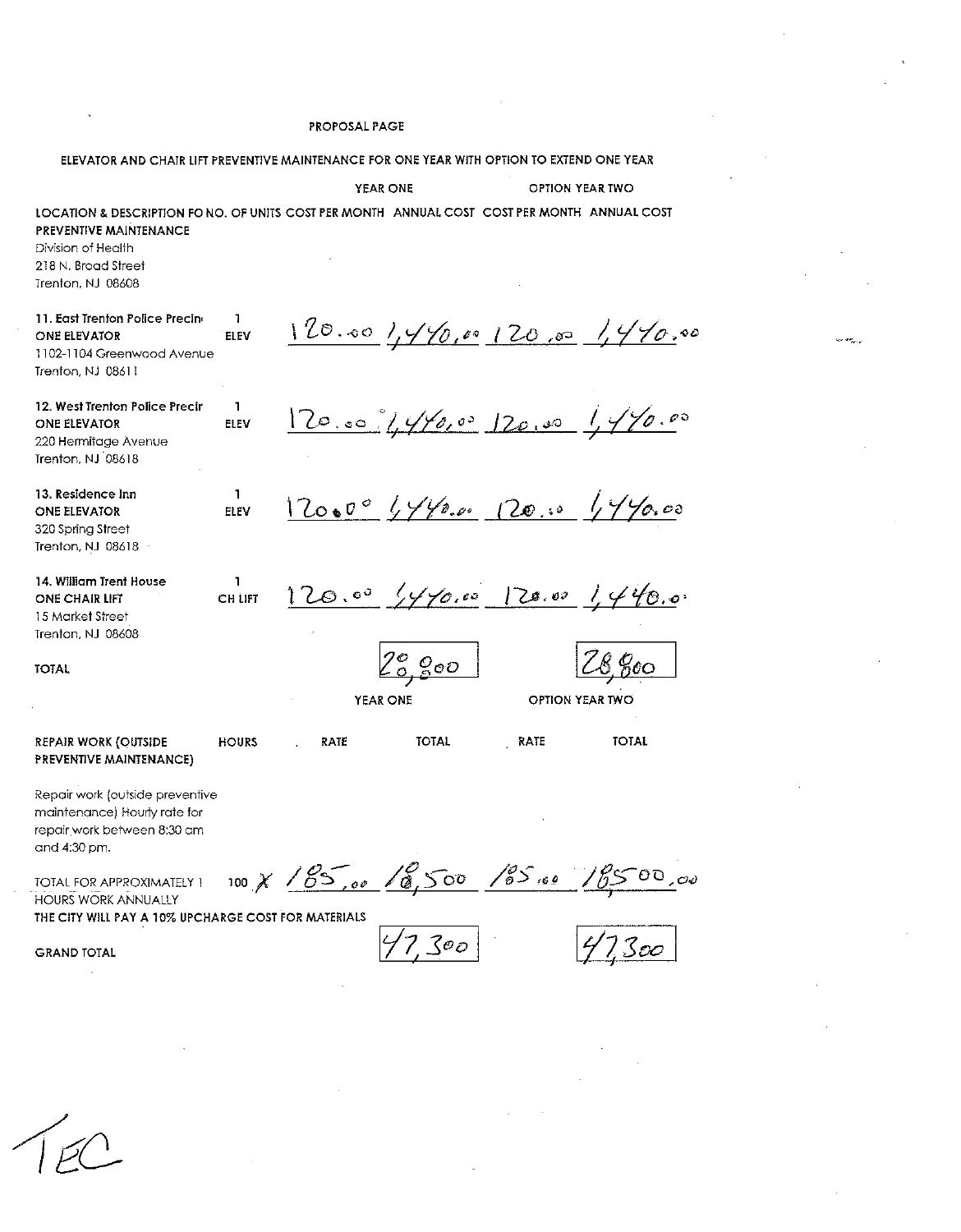ELEVATOR AND CHAIR LIFT PREVENTIVE MAINTENANCE FOR ONE YEAR WITH OPTION TO EXTEND ONE YEAR

YEAR ONE

OPTION YEAR TWO

 $120.00$ ,  $1470.00$ ,  $120.00$ ,  $1470.00$ 

 $120.00, 1440.00, 120.00, 1440.00$ 

 $12000$   $4490$ ,  $120$ ,  $1440$ , 00

 $4470.00$ 

 $\varrho_{\scriptscriptstyle \mathcal{O}\mathcal{O}}$ 

LOCATION & DESCRIPTION FO NO. OF UNITS COST PER MONTH ANNUAL COST COST PER MONTH ANNUAL COST PREVENTIVE MAINTENANCE

Division of Health 218 N. Broad Street Trenton, NJ 08608

11. East Trenton Police Precino  $\mathbf{1}$ ONE ELEVATOR ELEV 1102-1104 Greenwood Avenue Trenfon, NJ 08611

 $\mathbf{1}$ 

ELEV

 $\mathbf{1}$ 

ELEV

 $\mathbf{1}$ 

CH LIFT

12. West Trenton Police Precir ONE ELEVATOR 220 Hermitage Avenue Trenton, NJ 08618

13. Residence Inn ONE ELEVATOR 320 Spring Street Trenton, NJ 08618

14. William Trent House ONE CHAIR LIFT 15 Market Street Trenton, NJ 08608

**TOTAL** 

YEAR ONE

OPTION YEAR TWO

 $128.001440.01$ 

**REPAIR WORK (OUTSIDE HOURS** RATE **TOTAL** RATE **TOTAL** PREVENTIVE MAINTENANCE)

 $120.00$ 

Repair work (outside preventive maintenance) Hourly rate for repair work between 8:30 am and 4:30 pm.

TOTAL FOR APPROXIMATELY 1 HOURS WORK ANNUALLY THE CITY WILL PAY A 10% UPCHARGE COST FOR MATERIALS

100 X 185,00 18,500 185.00  $18500,00$ 

**GRAND TOTAL** 

7 ?oo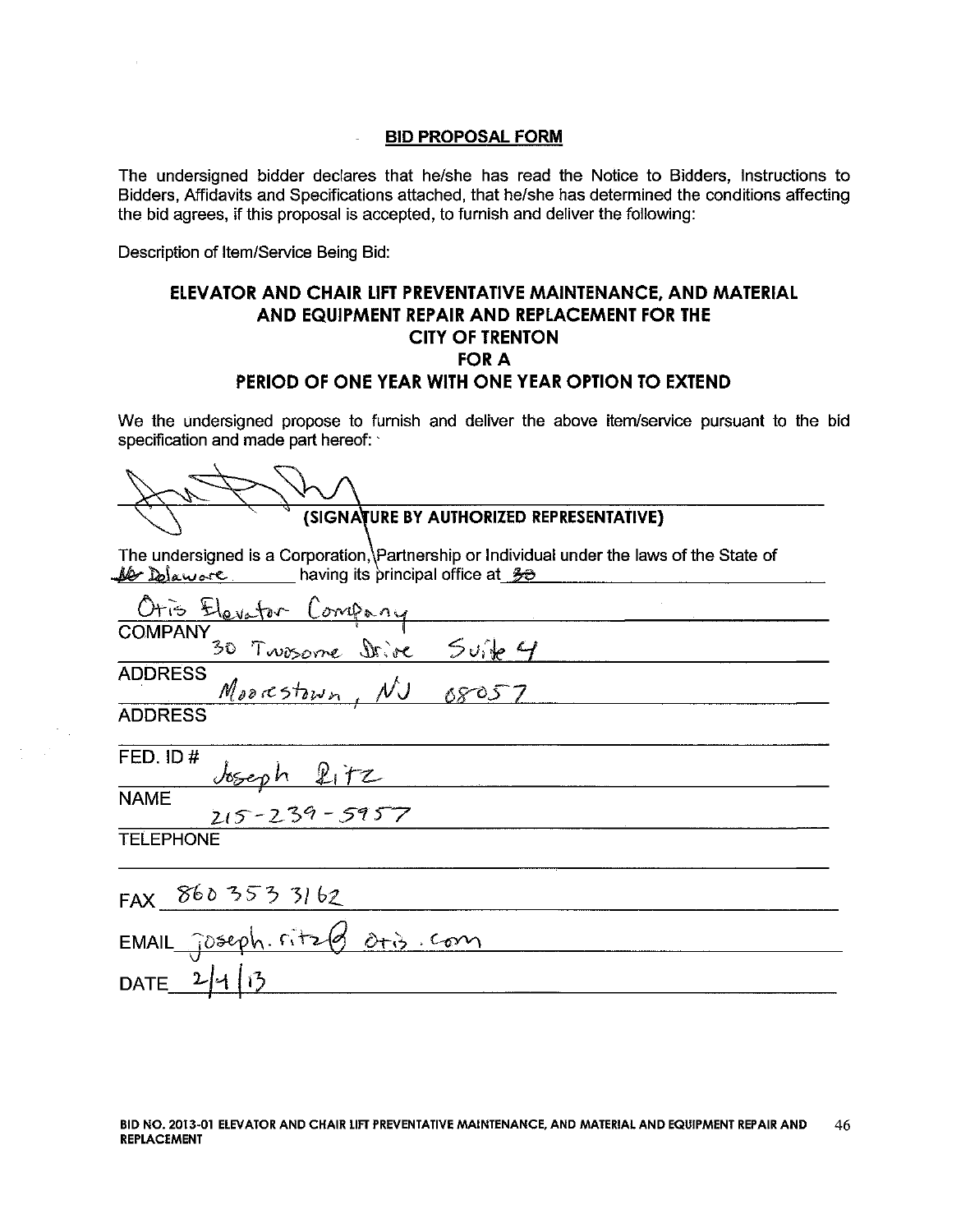l,

The undersigned bidder declares that he/she has read the Notice to Bidders, Instructions to Bidders, Affidavits and Specifications attached, that he/she has determined the conditions affecting the bid agrees, if this proposal is accepted, to furnish and deliver the following:

Description of Item/Service Being Bid:

## ELEVATOR AND CHAIR LIFT PREVENTATIVE MAINTENANCE, AND MATERIAL AND EQUIPMENT REPAIR AND REPLACEMENT FOR THE **CITY OF TRENTON FOR A** PERIOD OF ONE YEAR WITH ONE YEAR OPTION TO EXTEND

We the undersigned propose to furnish and deliver the above item/service pursuant to the bid specification and made part hereof:

| (SIGNATURE BY AUTHORIZED REPRESENTATIVE)                                                                                                                                                           |
|----------------------------------------------------------------------------------------------------------------------------------------------------------------------------------------------------|
| The undersigned is a Corporation, Partnership or Individual under the laws of the State of<br>$\frac{1}{2}$ $\frac{1}{2}$ $\frac{1}{2}$ $\frac{1}{2}$ having its principal office at $\frac{2}{2}$ |
| Otis Elevator Company                                                                                                                                                                              |

| COMPANY<br>30 Twosome Drive Suite 4    |
|----------------------------------------|
| <b>ADDRESS</b><br>Moorestown, NJ 08057 |
|                                        |
| <b>ADDRESS</b>                         |
|                                        |
| FED. ID#                               |
|                                        |
| <b>NAME</b>                            |
| <b>TELEPHONE</b>                       |
|                                        |
|                                        |
| FAX 860 353 31 62                      |
| EMAIL joseph. ritz & oris com          |
|                                        |

DATE  $2/1/3$ 

 $\sim$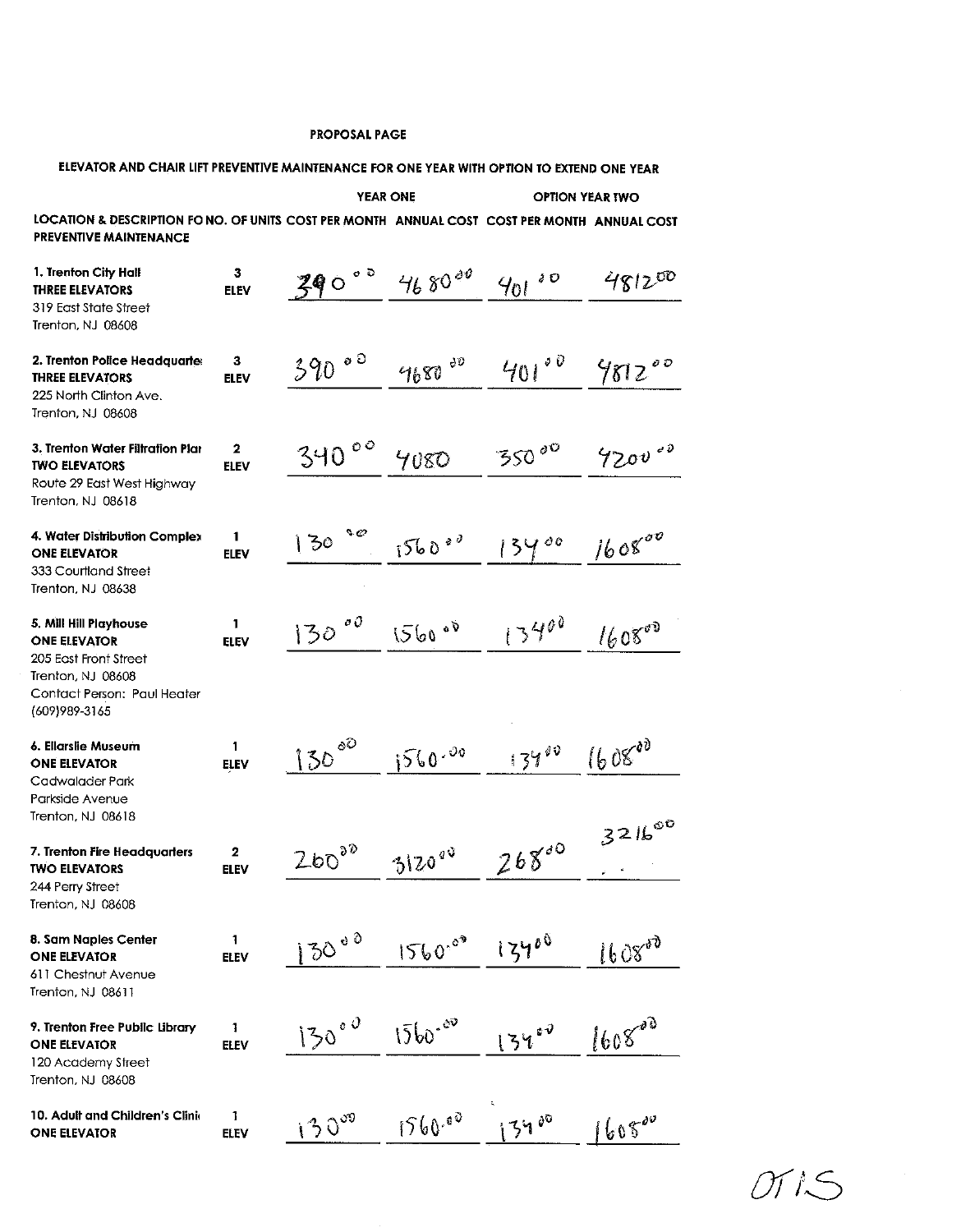| ELEVATOR AND CHAIR LIFT PREVENTIVE MAINTENANCE FOR ONE YEAR WITH OPTION TO EXTEND ONE YEAR                                                   |                             |              |                 |            |                        |
|----------------------------------------------------------------------------------------------------------------------------------------------|-----------------------------|--------------|-----------------|------------|------------------------|
|                                                                                                                                              |                             |              | <b>YEAR ONE</b> |            | <b>OPTION YEAR TWO</b> |
| LOCATION & DESCRIPTION FONO. OF UNITS COST PER MONTH ANNUAL COST COST PER MONTH ANNUAL COST<br><b>PREVENTIVE MAINTENANCE</b>                 |                             |              |                 |            |                        |
| 1. Trenton City Hall<br><b>THREE ELEVATORS</b><br>319 East State Street<br><b>Trenton, NJ 08608</b>                                          | 3<br><b>ELEV</b>            | 390°         | $4680^{40}$     | s O<br>401 | 481200                 |
| 2. Trenton Police Headquarte<br><b>THREE ELEVATORS</b><br>225 North Clinton Ave.<br>Trenton, NJ 08608                                        | 3<br><b>ELEV</b>            | 390°         | 4680 00         | 401°0      | 981200                 |
| 3. Trenton Water Filtration Plar<br><b>TWO ELEVATORS</b><br>Route 29 East West Highway<br>Trenton, NJ 08618                                  | $\mathbf{2}$<br><b>ELEV</b> | 340°         | 4080            | 35000      | 4200000                |
| 4. Water Distribution Complex<br><b>ONE ELEVATOR</b><br>333 Courtland Street<br>Trenton, NJ 08638                                            | 1<br><b>ELEV</b>            | s e<br>130   | $1560^{20}$     | :3400      | 160800                 |
| 5. Mill Hill Playhouse<br><b>ONE ELEVATOR</b><br>205 East Front Street<br>Trenton, NJ 08608<br>Contact Person: Paul Heater<br>(609) 989-3165 | 1<br><b>ELEV</b>            | $\phi$<br>30 | 1560°           | 13400      | 160800                 |
| 6. Ellarslie Museum<br><b>ONE ELEVATOR</b><br>Cadwalader Park<br>Parkside Avenue<br>Trenton, NJ 08618                                        | 1<br><b>ELEV</b>            | 8O<br>130    | 560.00          | 13400      | $1608^{00}$            |
| 7. Trenton Fire Headquarters<br><b>TWO ELEVATORS</b><br>244 Perry Street<br>Trenton, NJ 08608                                                | 2<br><b>ELEV</b>            | 26030        | 312000          | 26800      | 321600                 |
| 8. Sam Naples Center<br><b>ONE ELEVATOR</b><br>611 Chestnut Avenue<br>Trenton, NJ 08611                                                      | 1<br><b>ELEV</b>            | $130000}$    | $1560^{00}$     | 13400      | 160800                 |
| 9. Trenton Free Public Library<br><b>ONE ELEVATOR</b><br>120 Academy Street<br>Trenton, NJ 08608                                             | 1<br><b>ELEV</b>            | 130000       | $1560 - 60$     | 13400      | 160800                 |
| 10. Adult and Children's Clinic<br><b>ONE ELEVATOR</b>                                                                                       | 1<br><b>ELEV</b>            | 130000       | 1560.00         | 3400       | 160800                 |

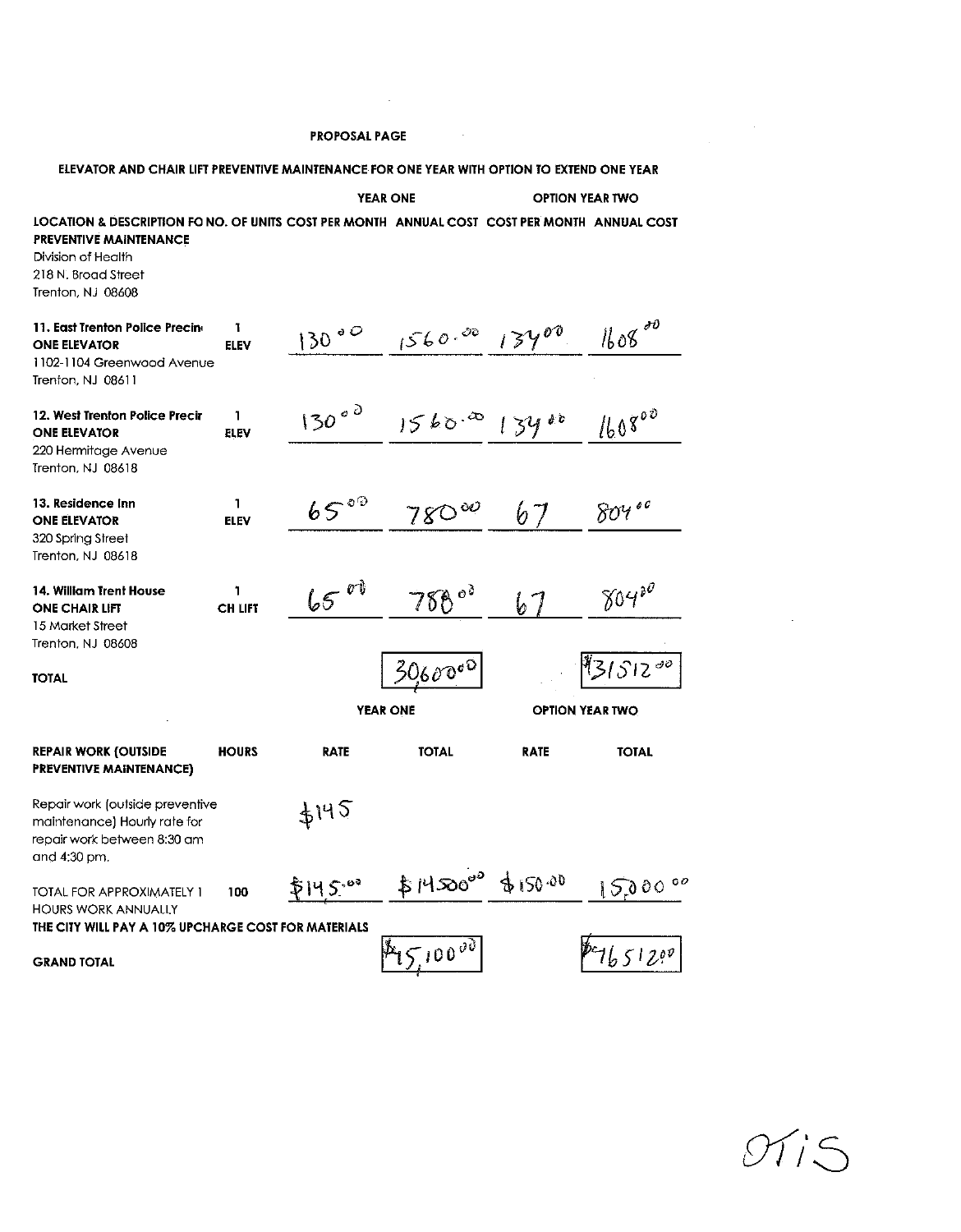$\label{eq:2.1} \frac{1}{\sqrt{2}}\int_{\mathbb{R}^3}\frac{1}{\sqrt{2}}\left(\frac{1}{\sqrt{2}}\right)^2\frac{1}{\sqrt{2}}\left(\frac{1}{\sqrt{2}}\right)^2\frac{1}{\sqrt{2}}\left(\frac{1}{\sqrt{2}}\right)^2.$ 

| ELEVATOR AND CHAIR LIFT PREVENTIVE MAINTENANCE FOR ONE YEAR WITH OPTION TO EXTEND ONE YEAR                                                                                                      |                  |                 |                   |                        |                        |
|-------------------------------------------------------------------------------------------------------------------------------------------------------------------------------------------------|------------------|-----------------|-------------------|------------------------|------------------------|
|                                                                                                                                                                                                 |                  | <b>YEAR ONE</b> |                   |                        | <b>OPTION YEAR TWO</b> |
| LOCATION & DESCRIPTION FO NO. OF UNITS COST PER MONTH ANNUAL COST COST PER MONTH ANNUAL COST<br><b>PREVENTIVE MAINTENANCE</b><br>Division of Health<br>218 N. Broad Street<br>Trenton, NJ 08608 |                  |                 |                   |                        |                        |
| 11. East Trenton Police Precing<br><b>ONE ELEVATOR</b><br>1102-1104 Greenwood Avenue<br>Trenton, NJ 08611                                                                                       | L<br><b>ELEV</b> | $130^{00}$      | $1560.00$ $13400$ |                        | $1608^{20}$            |
| 12. West Trenton Police Precir<br><b>ONE ELEVATOR</b><br>220 Hermitage Avenue<br>Trenton, NJ 08618                                                                                              | 1<br><b>ELEV</b> | $130000}$       | 1560.00           | 134                    | 160800                 |
| 13. Residence Inn<br><b>ONE ELEVATOR</b><br>320 Spring Street<br>Trenton, NJ 08618                                                                                                              | 1<br><b>ELEV</b> | 65°             | $780^{\infty}$    | 67                     | 804                    |
| 14. William Trent House<br><b>ONE CHAIR LIFT</b><br>15 Market Street<br>Trenton, NJ 08608                                                                                                       | L<br>CH LIFT     | $65^{01}$       | 788°              | b                      | 80430                  |
| <b>TOTAL</b>                                                                                                                                                                                    |                  | <b>YEAR ONE</b> | 30600 $^{\circ}$  | <b>OPTION YEAR TWO</b> | $31512^{00}$           |
| <b>REPAIR WORK (OUTSIDE</b><br><b>PREVENTIVE MAINTENANCE)</b>                                                                                                                                   | <b>HOURS</b>     | <b>RATE</b>     | <b>TOTAL</b>      | <b>RATE</b>            | <b>TOTAL</b>           |
| Repair work (outside preventive<br>maintenance) Hourly rate for<br>repair work between 8:30 am<br>and 4:30 pm.                                                                                  |                  | 4145            |                   |                        |                        |
| TOTAL FOR APPROXIMATELY 1<br><b>HOURS WORK ANNUALLY</b><br>THE CITY WILL PAY A 10% UPCHARGE COST FOR MATERIALS                                                                                  | 100              | P145            | $$H50^{00}$       | 4150.00                | 150000                 |
| <b>GRAND TOTAL</b>                                                                                                                                                                              |                  |                 | $45100^{30}$      |                        | 7651200                |

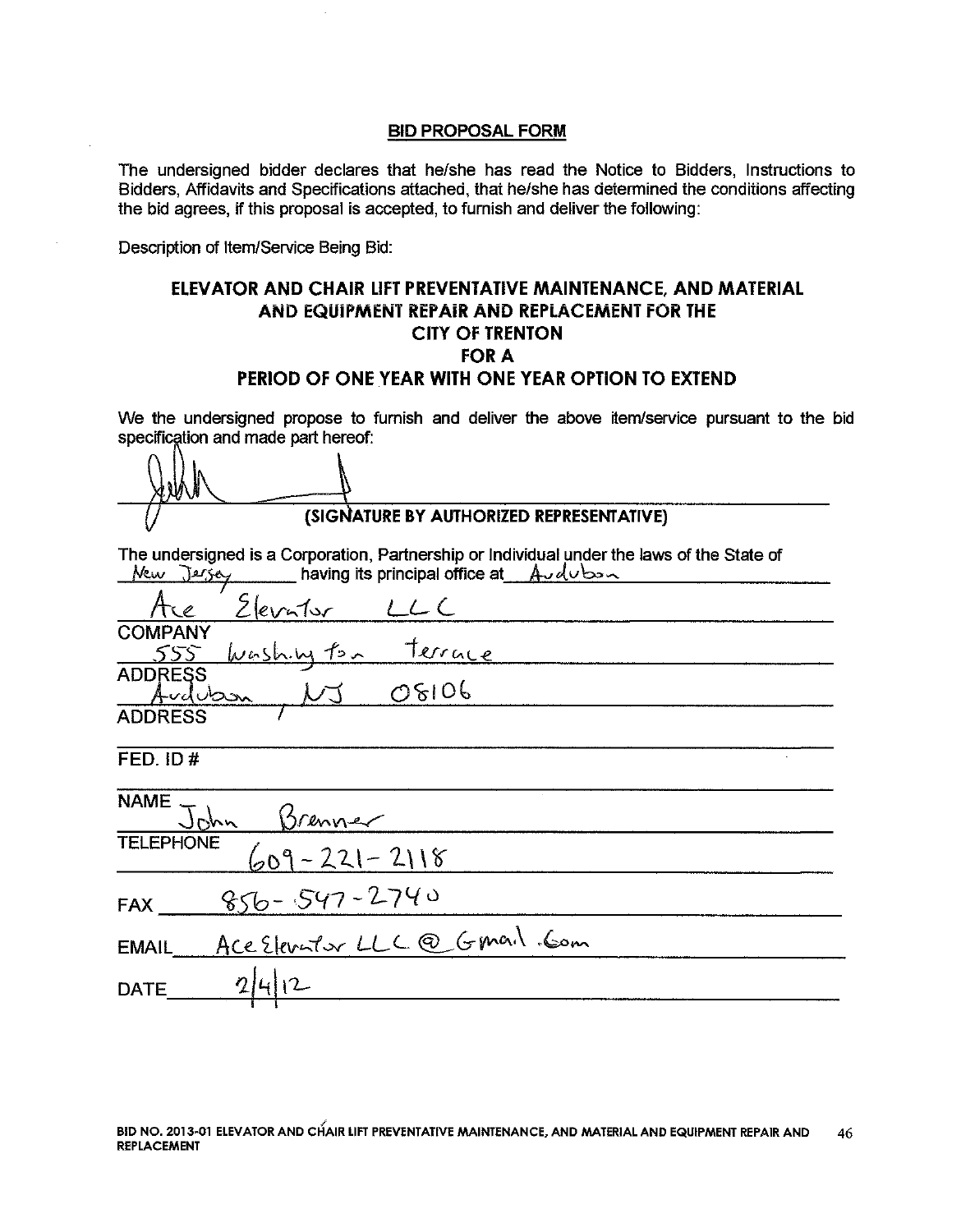The undersigned bidder declares that he/she has read the Notice to Bidders, Instructions to Bidders, Affidavits and Specifications attached, that he/she has determined the conditions affecting the bid agrees, if this proposal is accepted, to furnish and deliver the following:

Description of Item/Service Being Bid:

## ELEVATOR AND CHAIR LIFT PREVENTATIVE MAINTENANCE. AND MATERIAL AND EQUIPMENT REPAIR AND REPLACEMENT FOR THE **CITY OF TRENTON FOR A** PERIOD OF ONE YEAR WITH ONE YEAR OPTION TO EXTEND

We the undersigned propose to furnish and deliver the above item/service pursuant to the bid specification and made part hereof:

(SIGNATURE BY AUTHORIZED REPRESENTATIVE)

The undersigned is a Corporation, Partnership or Individual under the laws of the State of New Jersey having its principal office at  $\mathcal{A} \cup d \cup b \rightarrow \infty$ 

| Ace                                       | Elevator |       |  |  |
|-------------------------------------------|----------|-------|--|--|
| <b>COMPANY</b><br>555 Washing ton Terrace |          |       |  |  |
| <b>ADDRESS</b><br>Audubon                 |          | 08106 |  |  |
| <b>ADDRESS</b>                            |          |       |  |  |
| FED. ID#                                  |          |       |  |  |

|              | NAME John Brenner            |  |
|--------------|------------------------------|--|
|              | TELEPHONE $609 - 221 - 2118$ |  |
|              | FAX __ 856-547-2740          |  |
| <b>EMAIL</b> | Ace Elevator LLC@ Gmail. Com |  |
| <b>DATE</b>  | 2 4 12                       |  |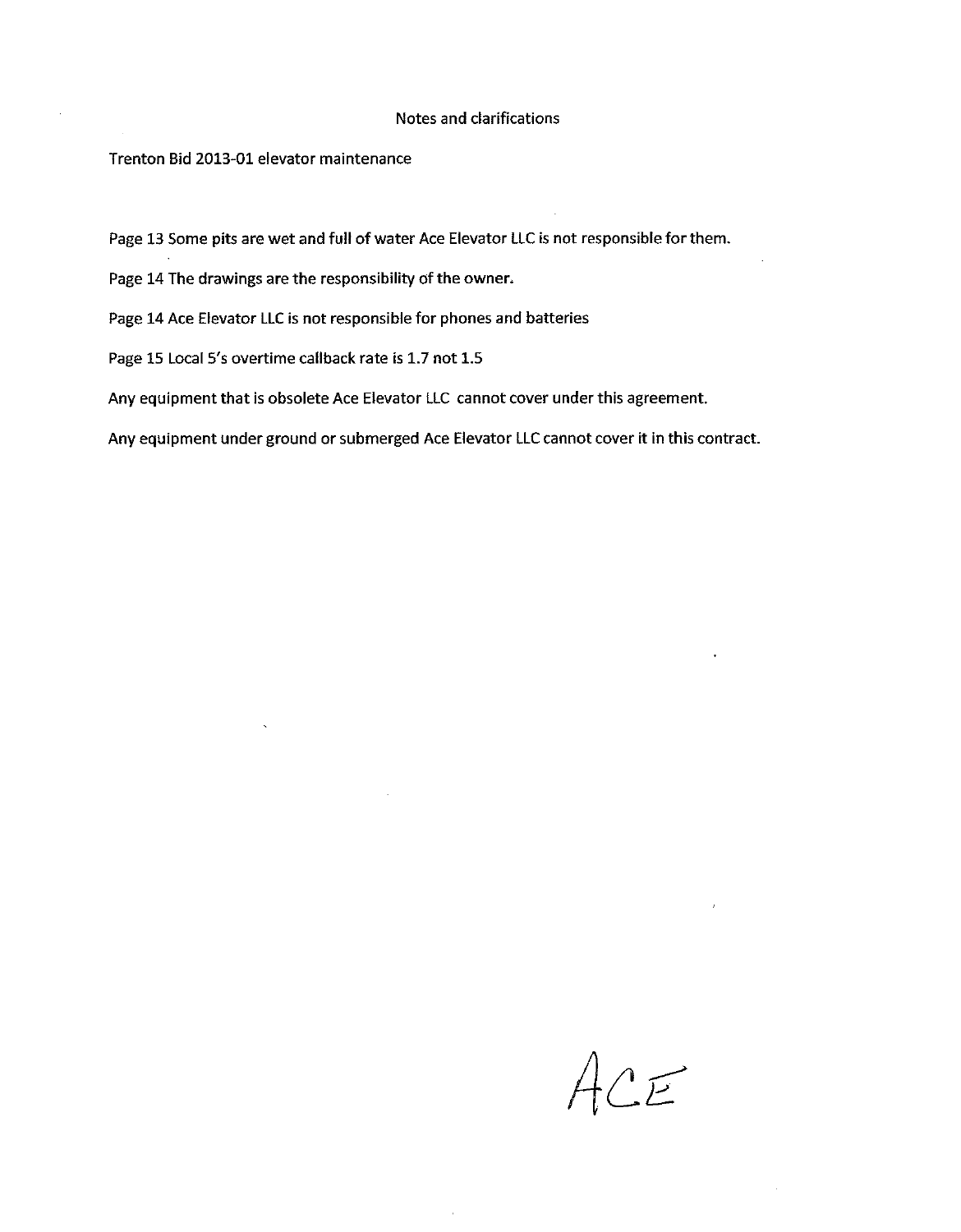#### Notes and clarifications

#### Trenton Bid 2013-01 elevator maintenance

Page 13 Some pits are wet and full of water Ace Elevator LLC is not responsible for them.

Page 14 The drawings are the responsibility of the owner.

Page 14 Ace Elevator LLC is not responsible for phones and batteries

Page 15 Local 5's overtime callback rate is 1.7 not 1.5

Any equipment that is obsolete Ace Elevator LLC cannot cover under this agreement.

Any equipment under ground or submerged Ace Elevator LLC cannot cover it in this contract.

ACE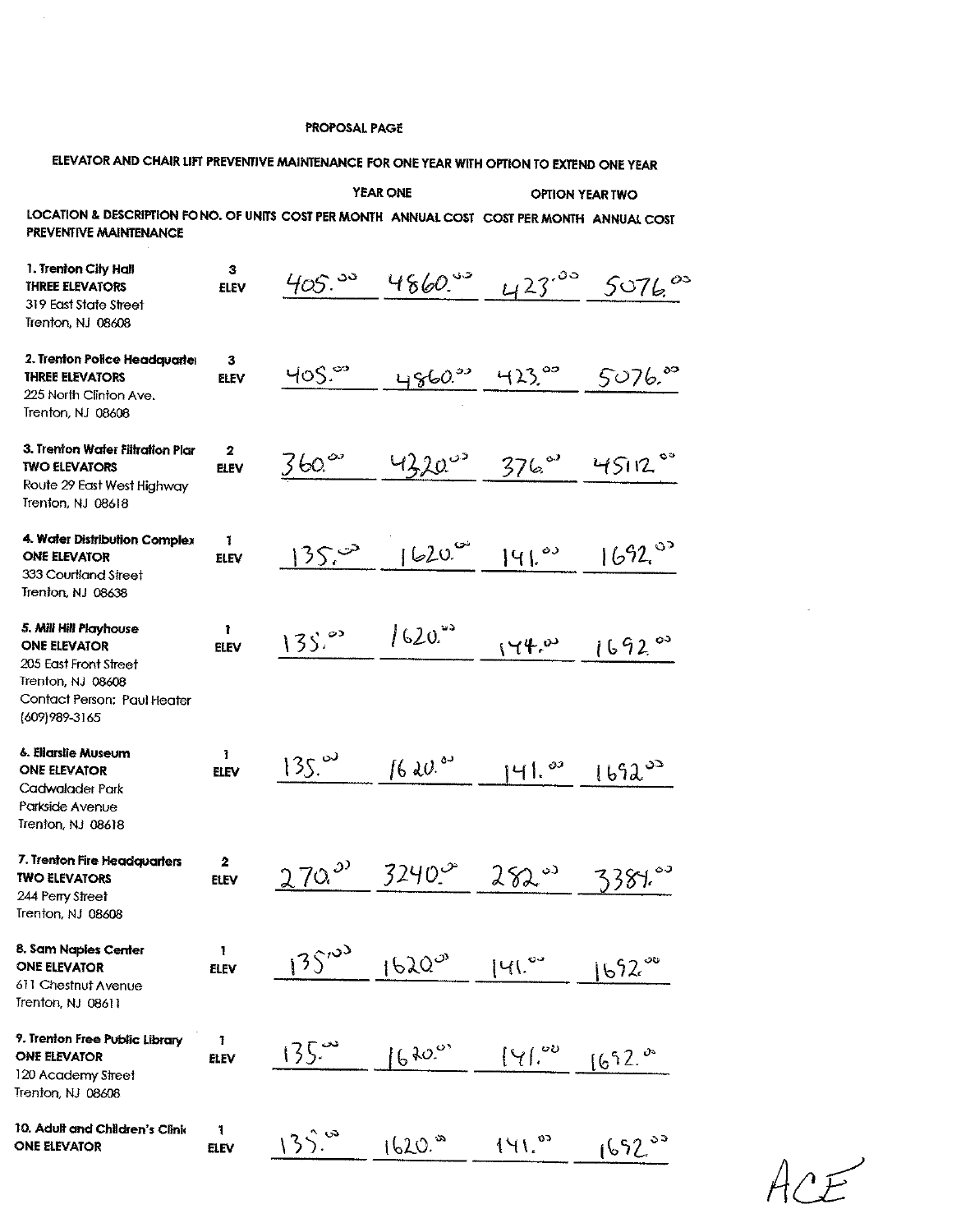# ELEVATOR AND CHAIR LIFT PREVENTIVE MAINTENANCE FOR ONE YEAR WITH OPTION TO EXTEND ONE YEAR

|                                                                                                                                              |                   |                      | <b>YEAR ONE</b>         | <b>OPTION YEAR TWO</b>      |                      |
|----------------------------------------------------------------------------------------------------------------------------------------------|-------------------|----------------------|-------------------------|-----------------------------|----------------------|
| LOCATION & DESCRIPTION FONO. OF UNITS COST PER MONTH ANNUAL COST COST PER MONTH ANNUAL COST<br>PREVENTIVE MAINTENANCE                        |                   |                      |                         |                             |                      |
| 1. Trenton City Hall<br><b>THREE ELEVATORS</b><br>319 East State Street<br>Trenton, NJ 08608                                                 | з<br><b>ELEV</b>  | $405.^{50}$          | $4860$ $33$             | $423^{00}$                  | $5076$ $00$          |
| 2. Trenton Police Headquarter<br><b>THREE ELEVATORS</b><br>225 North Clinton Ave.<br>Trenton, NJ 08608                                       | 3<br>ELEV         | 40S                  | 4860.93                 | $-423$ $\degree$            | 5076.80              |
| 3. Trenton Water Filtration Plar<br><b>TWO ELEVATORS</b><br>Route 29 East West Highway<br>Trenton, NJ 08618                                  | 2<br><b>ELEV</b>  | $360^\circ$          | 43200                   | $376$ <sup>07</sup>         | 4512                 |
| 4. Water Distribution Complex<br><b>ONE ELEVATOR</b><br>333 Courtland Street<br>Trenton, NJ 08638                                            | 1<br>ELEV         | 35.0                 | 1620                    | 141.04                      | 1692°                |
| 5. Mill Hill Playhouse<br><b>ONE ELEVATOR</b><br>205 East Front Street<br>Trenton, NJ 08608<br>Contact Person: Paul Heater<br>(609) 989-3165 | ı.<br><b>ELEV</b> | $135$ <sup>2</sup>   | 1620                    | (44.8)                      | 1692°                |
| 6. Eliarslie Museum<br><b>ONE ELEVATOR</b><br>Cadwalader Park<br>Parkside Avenue<br>Trenton, NJ 08618                                        | Ŧ.<br>ELEV        | $135.$ <sup>00</sup> | $16$ dec. <sup>83</sup> | 141.8                       | $1692^{00}$          |
| 7. Trenton Fire Headquarters<br><b>TWO ELEVATORS</b><br>244 Perry Street<br>Trenton, NJ 08608                                                | 2<br><b>ELEV</b>  | $270$ <sup>22</sup>  | $3240^\circ$            | $282$ <sup>03</sup>         | 3387.00              |
| 8. Sam Naples Center<br><b>ONE ELEVATOR</b><br>611 Chestnut Avenue<br>Trenton, NJ 08611                                                      | 1<br><b>ELEV</b>  | $135^{103}$          | 1620°                   | 141.04                      | $1692$ <sup>oo</sup> |
| 9. Trenton Free Public Library<br><b>ONE ELEVATOR</b><br>120 Academy Street<br>Trenton, NJ 08608                                             | 1<br>ELEV         | 135.                 | 6400                    | $\left[\gamma\right]_{\nu}$ | 1692.                |
| 10. Adult and Children's Clinic<br><b>ONE ELEVATOR</b>                                                                                       | 1<br><b>ELEV</b>  | 135.                 | $1620$ <sup>30</sup>    | 141.8                       | $1692^{33}$          |

 $4$ r $F$ 

 $\bar{\mathbf{x}}$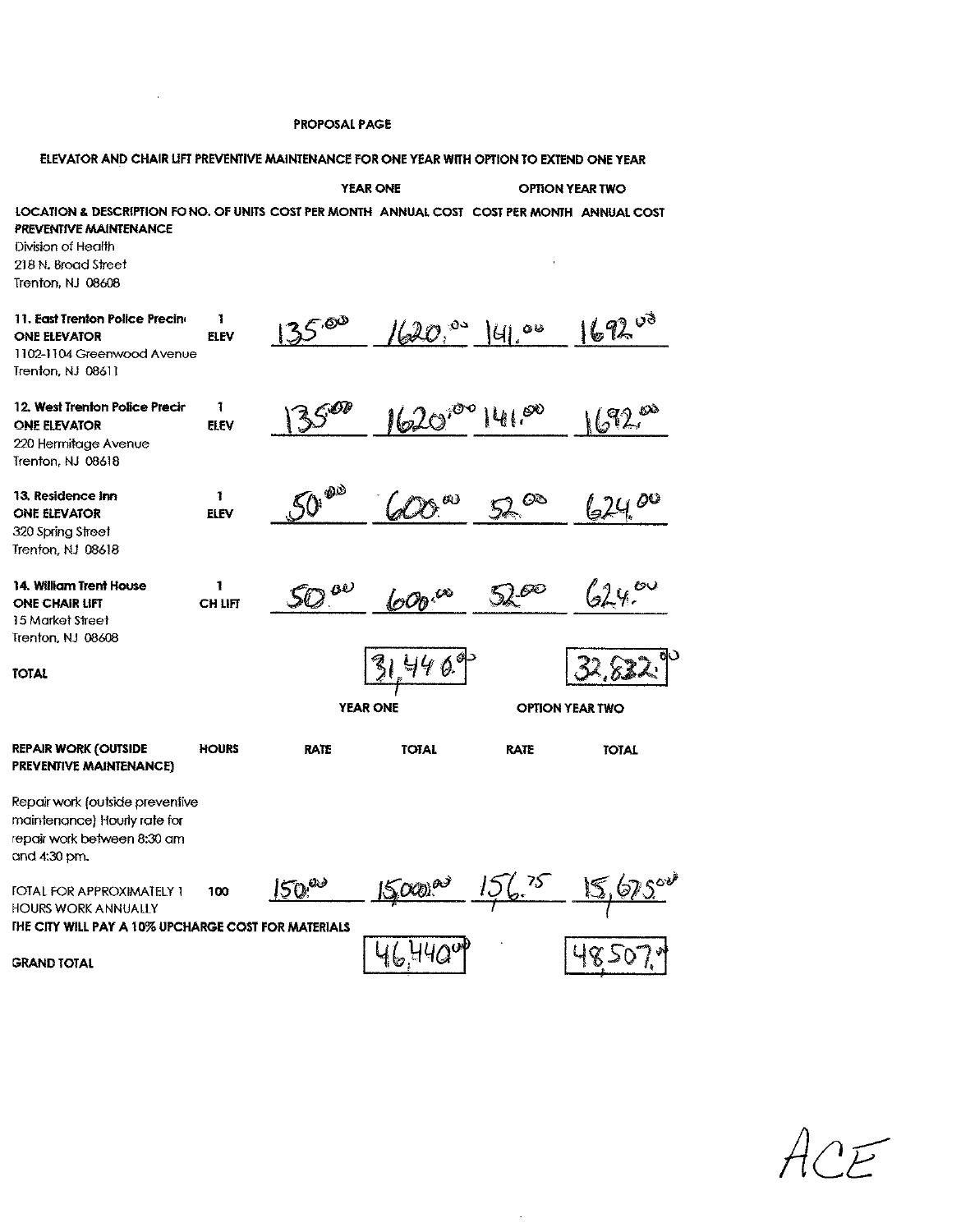$\mathcal{L}^{\text{max}}_{\text{max}}$ 

| ELEVATOR AND CHAIR LIFT PREVENTIVE MAINTENANCE FOR ONE YEAR WITH OPTION TO EXTEND ONE YEAR                                                                                              |                             |                                       |                     |                        |              |
|-----------------------------------------------------------------------------------------------------------------------------------------------------------------------------------------|-----------------------------|---------------------------------------|---------------------|------------------------|--------------|
|                                                                                                                                                                                         |                             | <b>YEAR ONE</b>                       |                     | <b>OPTION YEAR TWO</b> |              |
| LOCATION & DESCRIPTION FONO. OF UNITS COST PER MONTH ANNUAL COST COST PER MONTH ANNUAL COST<br>PREVENTIVE MAINTENANCE<br>Division of Health<br>218 N. Broad Street<br>Trenton, NJ 08608 |                             |                                       |                     |                        |              |
| 11. East Trenton Police Precine<br><b>ONE ELEVATOR</b><br>1102-1104 Greenwood Avenue<br>Trenton, NJ 08611                                                                               | 1<br><b>ELEV</b>            | $135^{.00}$                           | $\omega$ $^{\circ}$ | $ U $ as               | 69200        |
| 12. West Trenton Police Precir<br><b>ONE ELEVATOR</b><br>220 Hermitage Avenue<br>Trenton, NJ 08618                                                                                      | 1<br><b>ELEV</b>            | $\zeta^{\text{\O}b}$<br>$\mathcal{L}$ | $1620^\circ$        | 141.00                 | 692.         |
| 13. Residence inn<br><b>ONE ELEVATOR</b><br>320 Spring Street<br>Trenton, NJ 08618                                                                                                      | $\mathbf{I}$<br><b>ELEV</b> | 50 <sup>60</sup>                      | 60                  | $\infty$               | 624.00       |
| 14. William Trent House<br><b>ONE CHAIR LIFT</b><br>15 Market Street<br>Trenton, NJ 08608                                                                                               | 1<br><b>CH LIFT</b>         | $50^{80}$                             | 600°C               | 5200                   | 24           |
| <b>TOTAL</b>                                                                                                                                                                            |                             | <b>YEAR ONE</b>                       | 4409<br>31          | <b>OPTION YEAR TWO</b> |              |
|                                                                                                                                                                                         |                             |                                       |                     |                        |              |
| <b>REPAIR WORK (OUTSIDE</b><br>PREVENTIVE MAINTENANCE)                                                                                                                                  | <b>HOURS</b>                | <b>RATE</b>                           | <b>TOTAL</b>        | <b>RATE</b>            | <b>TOTAL</b> |
| Repair work (outside preventive<br>maintenance) Hourly rate for<br>repair work between 8:30 am<br>and 4:30 pm.                                                                          |                             |                                       |                     |                        |              |
| <b><i>FOTAL FOR APPROXIMATELY 1</i></b><br><b>HOURS WORK ANNUALLY</b>                                                                                                                   | 100                         | <b>SD</b> es                          | $O(10^{10^{3}})$    | 75                     |              |
| THE CITY WILL PAY A 10% UPCHARGE COST FOR MATERIALS                                                                                                                                     |                             |                                       |                     |                        |              |
| <b>GRAND TOTAL</b>                                                                                                                                                                      |                             |                                       |                     |                        |              |

 $\sim$ 

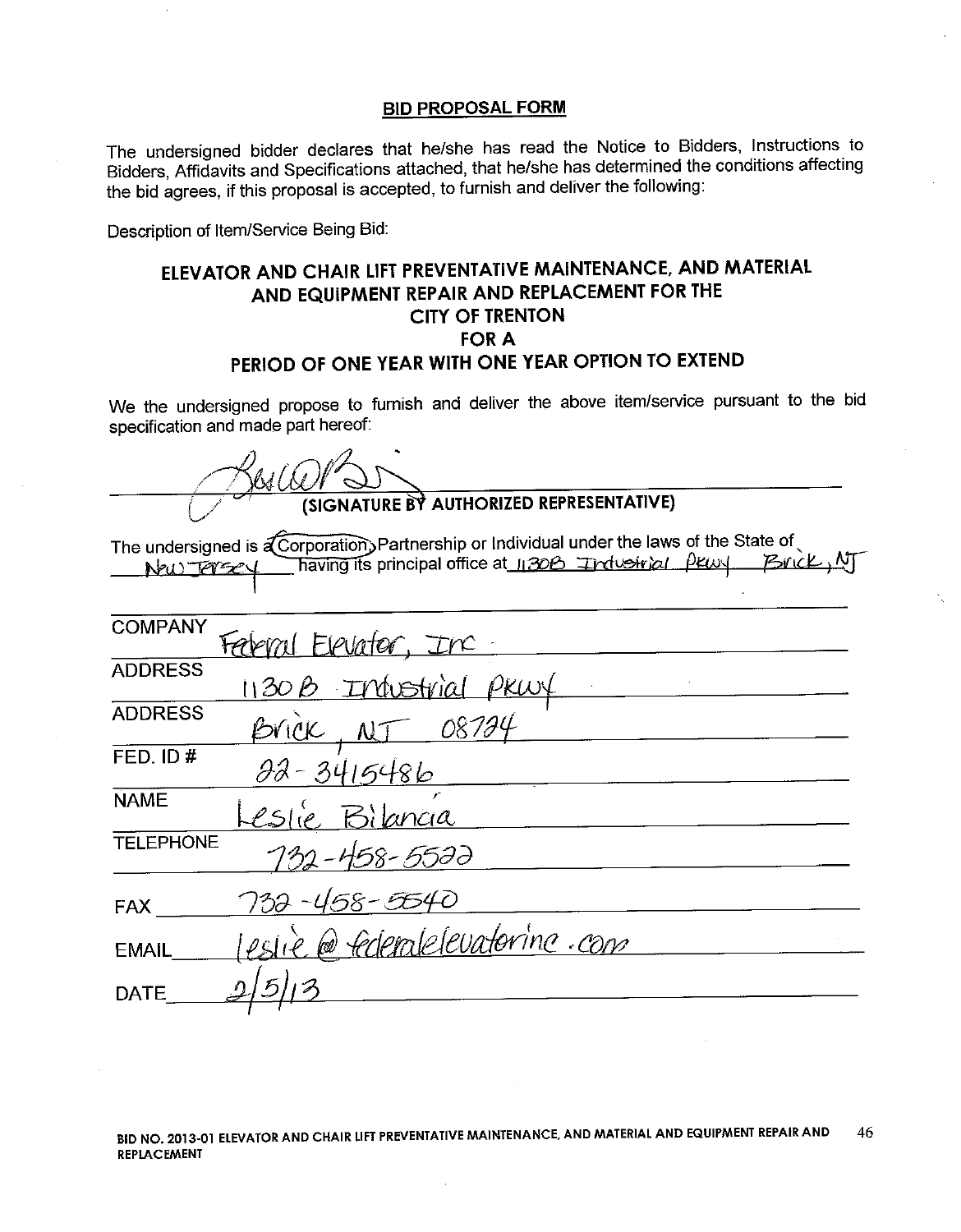The undersigned bidder declares that he/she has read the Notice to Bidders, Instructions to Bidders, Affidavits and Specifications attached, that he/she has determined the conditions affecting the bid agrees, if this proposal is accepted, to furnish and deliver the following:

Description of Item/Service Being Bid:

# ELEVATOR AND CHAIR LIFT PREVENTATIVE MAINTENANCE, AND MATERIAL AND EQUIPMENT REPAIR AND REPLACEMENT FOR THE **CITY OF TRENTON FOR A** PERIOD OF ONE YEAR WITH ONE YEAR OPTION TO EXTEND

We the undersigned propose to furnish and deliver the above item/service pursuant to the bid specification and made part hereof:

| (SIGNATURE BY AUTHORIZED REPRESENTATIVE)                                                                                                                                   |
|----------------------------------------------------------------------------------------------------------------------------------------------------------------------------|
| The undersigned is a Corporation, Partnership or Individual under the laws of the State of<br>having its principal office at 1130B Industrial Pray Brick, MJ<br>New Forsey |
| <b>COMPANY</b><br>Federal Elevator, Inc.                                                                                                                                   |
| <b>ADDRESS</b><br>1130B Industrial PRWY                                                                                                                                    |
| <b>ADDRESS</b><br>Brick, NJ 08724                                                                                                                                          |
| FED. ID#<br><u>22-3415486</u>                                                                                                                                              |
| <b>NAME</b><br>Leslie Bilancia                                                                                                                                             |
| <b>TELEPHONE</b><br>732-458-5522                                                                                                                                           |
| 732-458-5540<br>FAX                                                                                                                                                        |
| estie @ federalelevatorine.com<br><b>EMAIL</b>                                                                                                                             |
| <b>DATE</b>                                                                                                                                                                |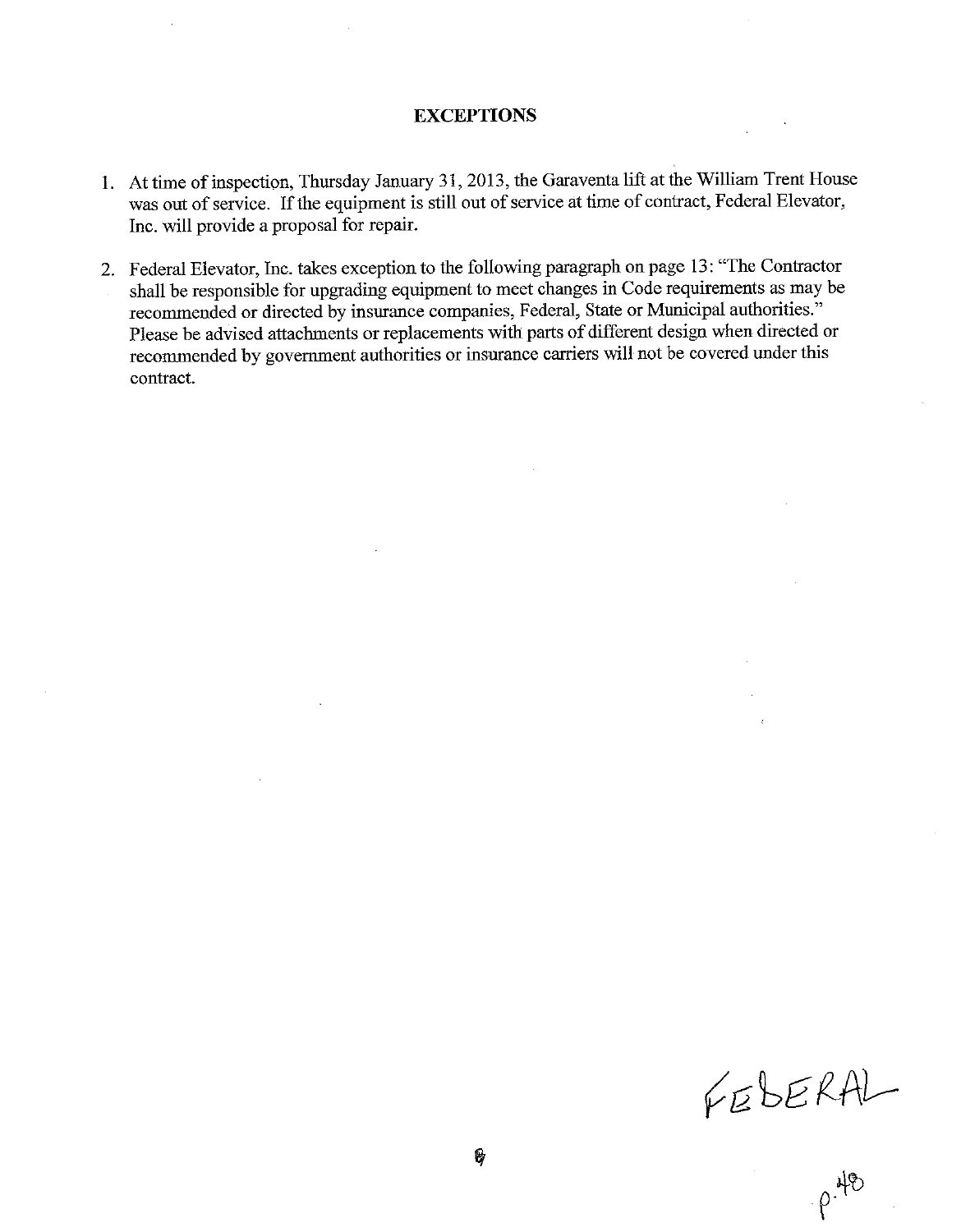## **EXCEPTIONS**

- 1. At time of inspection, Thursday January 31, 2013, the Garaventa lift at the William Trent House was out of service. If the equipment is still out of service at time of contract, Federal Elevator, Inc. will provide a proposal for repair.
- 2. Federal Elevator, Inc. takes exception to the following paragraph on page 13: "The Contractor shall be responsible for upgrading equipment to meet changes in Code requirements as may be recommended or directed by insurance companies, Federal, State or Municipal authorities." Please be advised attachments or replacements with parts of different design when directed or recommended by government authorities or insurance carriers will not be covered under this contract.

FEBERAL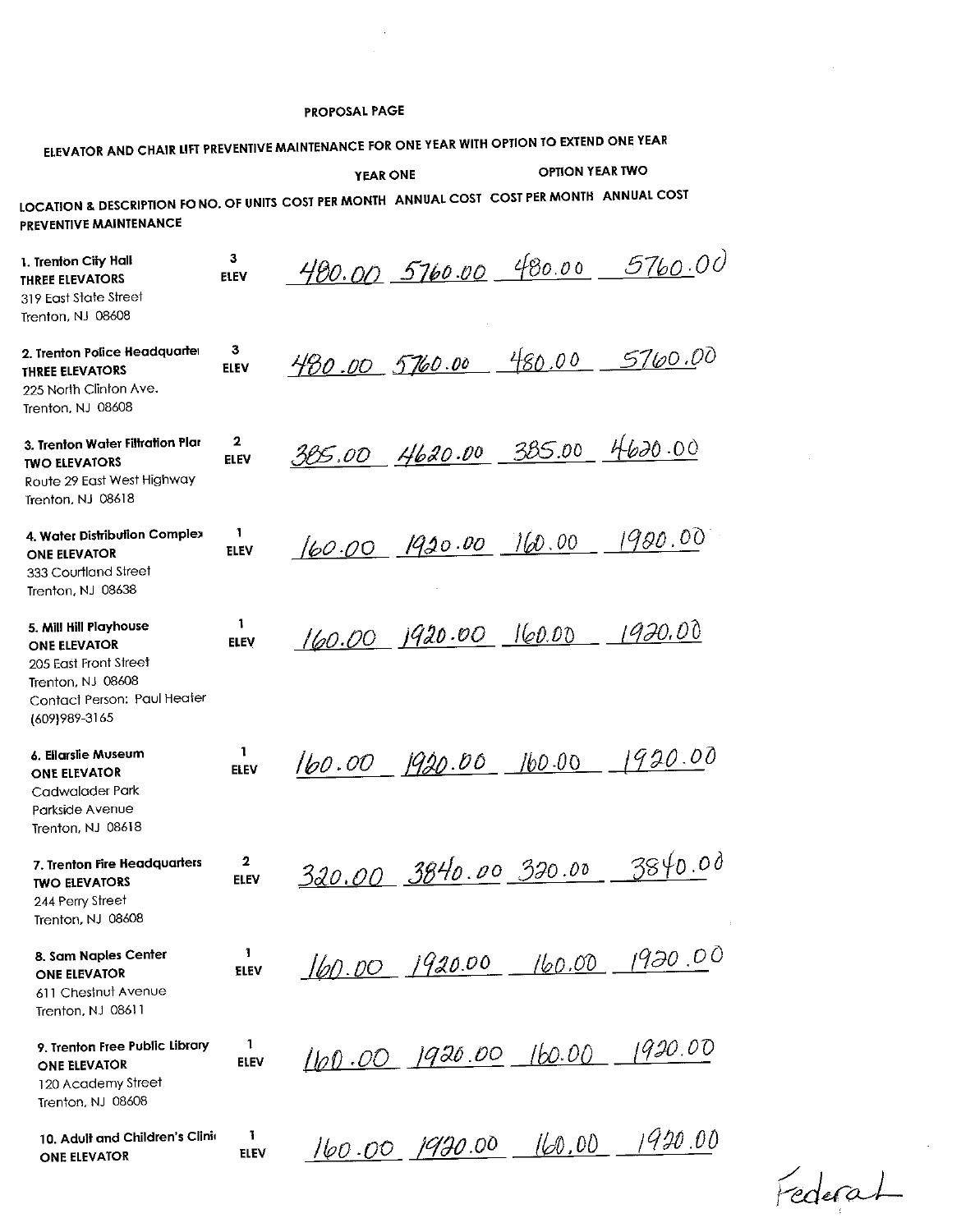$\hat{\mathcal{A}}$ 

| ELEVATOR AND CHAIR LIFT PREVENTIVE MAINTENANCE FOR ONE YEAR WITH OPTION TO EXTEND ONE YEAR                                            |                             |                               |                                                    |        |                               |
|---------------------------------------------------------------------------------------------------------------------------------------|-----------------------------|-------------------------------|----------------------------------------------------|--------|-------------------------------|
|                                                                                                                                       | <b>OPTION YEAR TWO</b>      |                               |                                                    |        |                               |
| LOCATION & DESCRIPTION FO NO. OF UNITS COST PER MONTH ANNUAL COST COST PER MONTH ANNUAL COST<br>PREVENTIVE MAINTENANCE                |                             |                               |                                                    |        |                               |
| 1. Trenton City Hall<br><b>THREE ELEVATORS</b><br>319 East State Street<br>Trenton, NJ 08608                                          | 3<br><b>ELEV</b>            |                               |                                                    |        | 480.00 5760.00 480.00 5760.00 |
| 2. Trenton Police Headquarter<br><b>THREE ELEVATORS</b><br>225 North Clinton Ave.<br>Trenton, NJ 08608                                | 3<br>ELEV                   | 430.00 5760.00                |                                                    | 480.00 | <u>5760</u> .00               |
| 3. Trenton Water Filtration Plar<br><b>TWO ELEVATORS</b><br>Route 29 East West Highway<br>Trenton, NJ 08618                           | 2<br><b>ELEV</b>            | 385.00 4620.00 385.00 4620.00 |                                                    |        |                               |
| 4. Water Distribution Complex<br><b>ONE ELEVATOR</b><br>333 Courtland Street<br>Trenton, NJ 08638                                     | 1<br><b>ELEV</b>            |                               | $(60.00 \quad 1930.00 \quad 160.00 \quad 1980.00)$ |        |                               |
| 5. Mill Hill Playhouse<br>ONE ELEVATOR<br>205 East Front Street<br>Trenton, NJ 08608<br>Contact Person: Paul Heater<br>(609) 989-3165 | 1<br><b>ELEV</b>            |                               | 160.00 1920.00 160.00 1920.00                      |        |                               |
| 6. Eliarslie Museum<br><b>ONE ELEVATOR</b><br>Cadwalader Park<br>Parkside Avenue<br>Trenton, NJ 08618                                 | 1<br><b>ELEV</b>            |                               | 160.00 1920.00 160.00                              |        | 1920.00                       |
| 7. Trenton Fire Headquarters<br><b>TWO ELEVATORS</b><br>244 Perry Street<br>Trenton, NJ 08608                                         | $\mathbf{2}$<br><b>ELEV</b> |                               | 320.00 3840.00 320.00                              |        | 3840.00                       |
| 8. Sam Naples Center<br><b>ONE ELEVATOR</b><br>611 Chestnut Avenue<br>Trenton, NJ 08611                                               | 1<br>ELEV                   |                               |                                                    |        | 160.00 1920.00 160.00 1920.00 |
| 9. Trenton Free Public Library<br><b>ONE ELEVATOR</b><br>120 Academy Street<br>Trenton, NJ 08608                                      | 1<br><b>ELEV</b>            |                               | $160.00$ $1920.00$ $160.00$                        |        | 1920.00                       |
| 10. Adult and Children's Clinic<br><b>ONE ELEVATOR</b>                                                                                | 1<br><b>ELEV</b>            |                               | 160.00 1920.00                                     | 160,00 | 1920.00                       |

Federat

 $\mathcal{A}$ 

 $\sim$ 

 $\sim$   $\sim$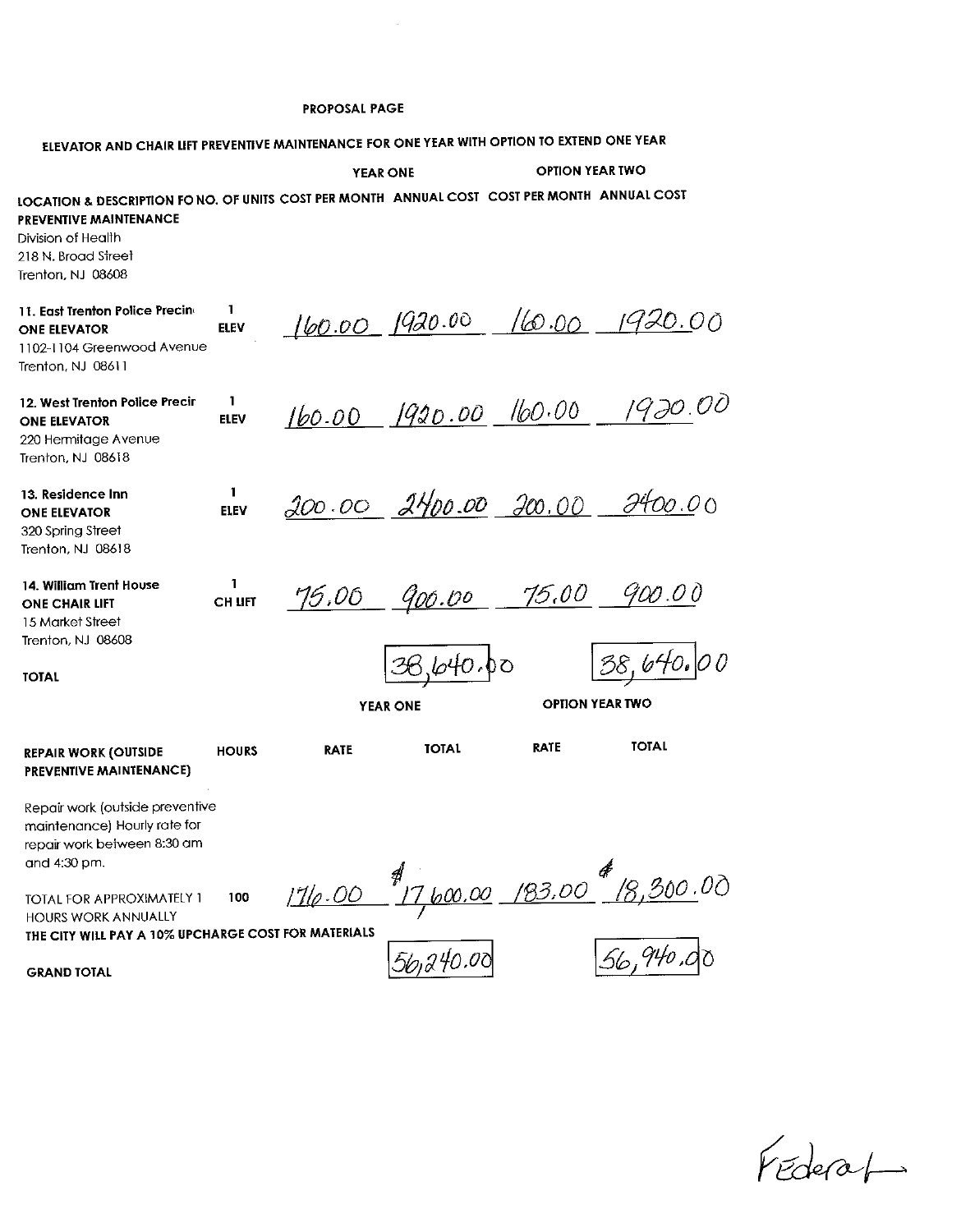$\mathcal{A}^{\mathcal{A}}$ 

| ELEVATOR AND CHAIR LIFT PREVENTIVE MAINTENANCE FOR ONE YEAR WITH OPTION TO EXTEND ONE YEAR                                                                                                      |                             |                       |                   |                        |                                               |  |
|-------------------------------------------------------------------------------------------------------------------------------------------------------------------------------------------------|-----------------------------|-----------------------|-------------------|------------------------|-----------------------------------------------|--|
|                                                                                                                                                                                                 |                             | <b>YEAR ONE</b>       |                   | <b>OPTION YEAR TWO</b> |                                               |  |
| LOCATION & DESCRIPTION FO NO. OF UNITS COST PER MONTH ANNUAL COST COST PER MONTH ANNUAL COST<br><b>PREVENTIVE MAINTENANCE</b><br>Division of Health<br>218 N. Broad Street<br>Trenton, NJ 08608 |                             |                       |                   |                        |                                               |  |
| 11. East Trenton Police Precine<br><b>ONE ELEVATOR</b><br>1102-1104 Greenwood Avenue<br>Trenton, NJ 08611                                                                                       | 1<br><b>ELEV</b>            |                       |                   |                        | 160.00 1920.00 160.00 1920.00                 |  |
| 12. West Trenton Police Precir<br><b>ONE ELEVATOR</b><br>220 Hermitage Avenue<br>Trenton, NJ 08618                                                                                              | $\mathbf{1}$<br><b>ELEV</b> | 160.00 1920.00 160.00 |                   |                        | 1920.00                                       |  |
| 13. Residence Inn<br><b>ONE ELEVATOR</b><br>320 Spring Street<br>Trenton, NJ 08618                                                                                                              | 1<br><b>ELEV</b>            |                       |                   | 200.00 2400.00 200.00  | 000.00                                        |  |
| 14. William Trent House<br><b>ONE CHAIR LIFT</b><br>15 Market Street<br>Trenton, NJ 08608                                                                                                       | 1<br><b>CH LIFT</b>         | 75,00                 |                   | 900.00 75.00           | 900.00                                        |  |
| ΤΟΤΑΙ                                                                                                                                                                                           |                             |                       | <i>3</i> 6,640,00 |                        | 38,640.00                                     |  |
|                                                                                                                                                                                                 |                             |                       | <b>YEAR ONE</b>   |                        | <b>OPTION YEAR TWO</b>                        |  |
| <b>REPAIR WORK (OUTSIDE</b><br>PREVENTIVE MAINTENANCE)                                                                                                                                          | <b>HOURS</b>                | <b>RATE</b>           | <b>TOTAL</b>      | <b>RATE</b>            | <b>TOTAL</b>                                  |  |
| Repair work (outside preventive<br>maintenance) Hourly rate for<br>repair work between 8:30 am<br>and 4:30 pm.                                                                                  |                             |                       |                   |                        |                                               |  |
| TOTAL FOR APPROXIMATELY 1<br>HOURS WORK ANNUALLY<br>THE CITY WILL PAY A 10% UPCHARGE COST FOR MATERIALS                                                                                         | 100                         | 1710.00               |                   |                        | 1<br><u>17 boo.00    193.00    18,300.</u> 00 |  |
| <b>GRAND TOTAL</b>                                                                                                                                                                              |                             |                       | 56,240.00         |                        | 56,940.00                                     |  |

Fédérat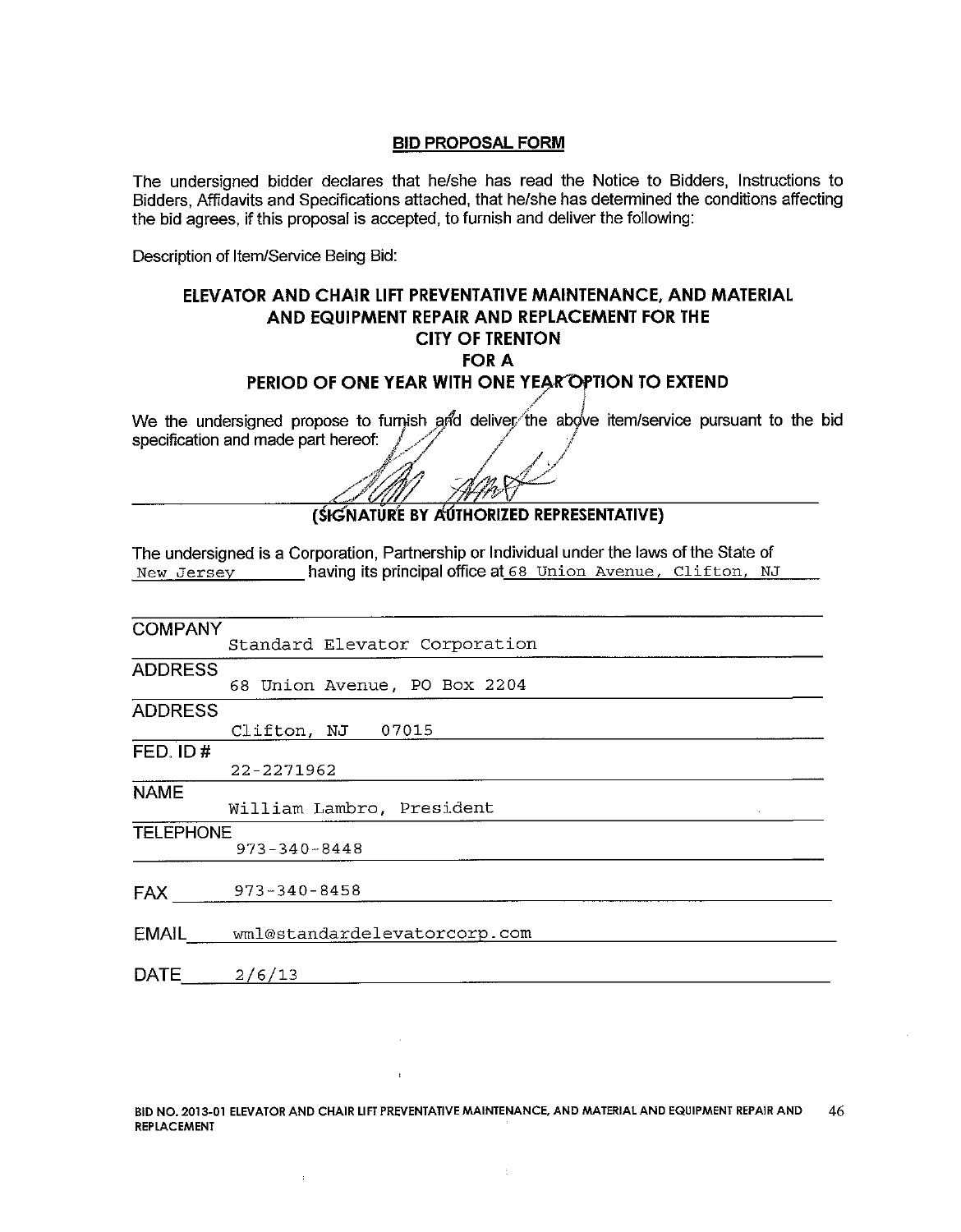The undersigned bidder declares that he/she has read the Notice to Bidders, Instructions to Bidders, Affidavits and Specifications attached, that he/she has determined the conditions affecting the bid agrees, if this proposal is accepted, to furnish and deliver the following:

Description of Item/Service Being Bid:

# ELEVATOR AND CHAIR LIFT PREVENTATIVE MAINTENANCE, AND MATERIAL AND EQUIPMENT REPAIR AND REPLACEMENT FOR THE **CITY OF TRENTON FOR A** PERIOD OF ONE YEAR WITH ONE YEAR OPTION TO EXTEND

We the undersigned propose to furnish and deliver the above item/service pursuant to the bid specification and made part hereof:

(SIGNATURE BY AUTHORIZED REPRESENTATIVE)

The undersigned is a Corporation, Partnership or Individual under the laws of the State of New Jersey having its principal office at 68 Union Avenue, Clifton, NJ

| <b>COMPANY</b>   |                                    |
|------------------|------------------------------------|
|                  | Standard Elevator Corporation      |
| <b>ADDRESS</b>   |                                    |
|                  | 68 Union Avenue, PO Box 2204       |
| <b>ADDRESS</b>   |                                    |
|                  | Clifton, NJ 07015                  |
| FED. ID#         |                                    |
|                  | 22-2271962                         |
| <b>NAME</b>      |                                    |
|                  | William Lambro, President          |
| <b>TELEPHONE</b> |                                    |
|                  | $973 - 340 - 8448$                 |
|                  |                                    |
| <b>FAX</b>       | 973-340-8458                       |
|                  |                                    |
|                  | EMAIL wml@standardelevatorcorp.com |
|                  |                                    |
| <b>DATE</b>      | 2/6/13                             |
|                  |                                    |

 $\bar{\chi}$ 

 $\mathcal{L}$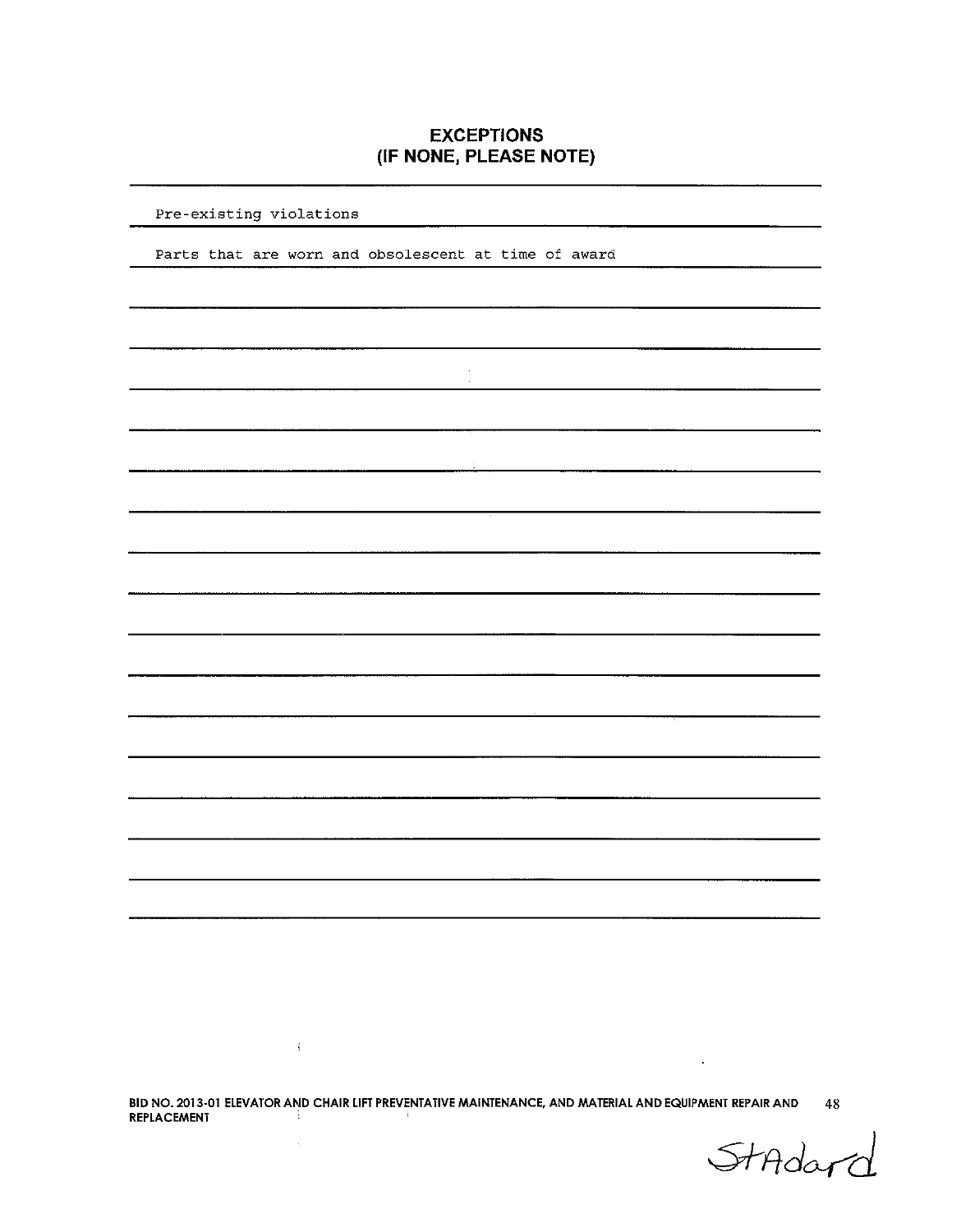## **EXCEPTIONS** (IF NONE, PLEASE NOTE)

 $\ddot{\phantom{a}}$  $\mathbf{r}$ 

#### Pre-existing violations

Parts that are worn and obsolescent at time of award

BID NO. 2013-01 ELEVATOR AND CHAIR LIFT PREVENTATIVE MAINTENANCE, AND MATERIAL AND EQUIPMENT REPAIR AND  $48$ <br>REPLACEMENT

 $\sim 400$ 

 $\sim$ 

StAdar

 $\mathcal{L}$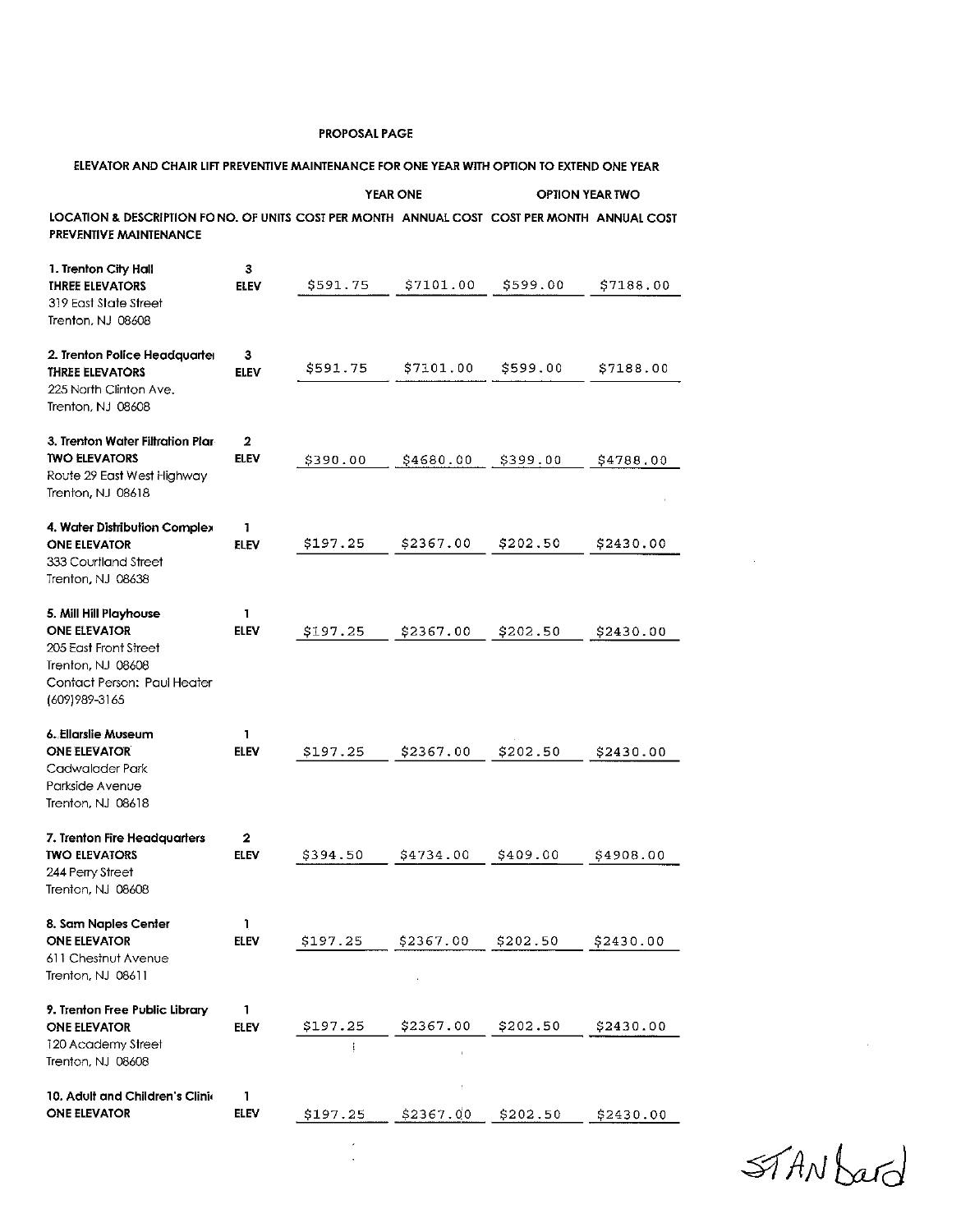| ELEVATOR AND CHAIR LIFT PREVENTIVE MAINTENANCE FOR ONE YEAR WITH OPTION TO EXTEND ONE YEAR                                                   |                             |                 |           |          |                        |  |  |
|----------------------------------------------------------------------------------------------------------------------------------------------|-----------------------------|-----------------|-----------|----------|------------------------|--|--|
|                                                                                                                                              |                             | <b>YEAR ONE</b> |           |          | <b>OPTION YEAR TWO</b> |  |  |
| LOCATION & DESCRIPTION FO NO. OF UNITS COST PER MONTH ANNUAL COST COST PER MONTH ANNUAL COST<br><b>PREVENTIVE MAINTENANCE</b>                |                             |                 |           |          |                        |  |  |
| 1. Trenton City Hall<br><b>THREE ELEVATORS</b><br>319 East State Street<br>Trenton, NJ 08608                                                 | 3<br><b>ELEV</b>            | \$591.75        | \$7101.00 | \$599.00 | \$7188.00              |  |  |
| 2. Trenton Police Headquarter<br><b>THREE ELEVATORS</b><br>225 North Clinton Ave.<br>Trenton, NJ 08608                                       | 3<br><b>ELEV</b>            | \$591.75        | \$7101.00 | \$599.00 | S7188.00               |  |  |
| 3. Trenton Water Filtration Plar<br><b>TWO ELEVATORS</b><br>Route 29 East West Highway<br>Trenton, NJ 08618                                  | 2<br>ELEV                   | \$390.00        | \$4680.00 | \$399.00 | \$4788.00              |  |  |
| 4. Water Distribution Complex<br><b>ONE ELEVATOR</b><br>333 Courtland Street<br>Trenton, NJ 08638                                            | 1<br>ELEV                   | \$197.25        | \$2367.00 | \$202.50 | \$2430.00              |  |  |
| 5. Mill Hill Playhouse<br><b>ONE ELEVATOR</b><br>205 East Front Street<br>Trenton, NJ 08608<br>Contact Person: Paul Heater<br>(609) 989-3165 | 1<br>ELEV                   | \$197.25        | \$2367.00 | \$202.50 | \$2430.00              |  |  |
| 6. Ellarslie Museum<br><b>ONE ELEVATOR</b><br>Cadwalader Park<br>Parkside Avenue<br>Trenton, NJ 08618                                        | 1<br>ELEV                   | \$197.25        | \$2367.00 | \$202.50 | \$2430.00              |  |  |
| 7. Trenton Fire Headquarters<br><b>TWO ELEVATORS</b><br>244 Perry Street<br>Trenton, NJ 08608                                                | $\mathbf 2$<br>ELEV         | \$394.50        | \$4734.00 | \$409.00 | \$4908.00              |  |  |
| 8. Sam Naples Center<br><b>ONE ELEVATOR</b><br>611 Chestnut Avenue<br>Trenton, NJ 08611                                                      | 1<br>ELEV                   | \$197.25        | \$2367.00 | \$202.50 | \$2430.00              |  |  |
| 9. Trenton Free Public Library<br>ONE ELEVATOR<br>120 Academy Street<br>Trenton, NJ 08608                                                    | $\mathbf{1}$<br><b>ELEV</b> | \$197.25        | \$2367.00 | \$202.50 | \$2430.00              |  |  |
| 10. Adult and Children's Clinic<br><b>ONE ELEVATOR</b>                                                                                       | 1.<br>ELEV                  | \$197.25        | \$2367.00 | \$202.50 | \$2430.00              |  |  |
|                                                                                                                                              |                             |                 |           |          |                        |  |  |

STANDard

 $\label{eq:2.1} \frac{1}{\|x\|^{2}}\leq \frac{1}{\|x\|^{2}}\leq \frac{1}{\|x\|^{2}}\leq \frac{1}{\|x\|^{2}}\leq \frac{1}{\|x\|^{2}}\leq \frac{1}{\|x\|^{2}}\leq \frac{1}{\|x\|^{2}}\leq \frac{1}{\|x\|^{2}}\leq \frac{1}{\|x\|^{2}}\leq \frac{1}{\|x\|^{2}}\leq \frac{1}{\|x\|^{2}}\leq \frac{1}{\|x\|^{2}}\leq \frac{1}{\|x\|^{2}}\leq \frac{$